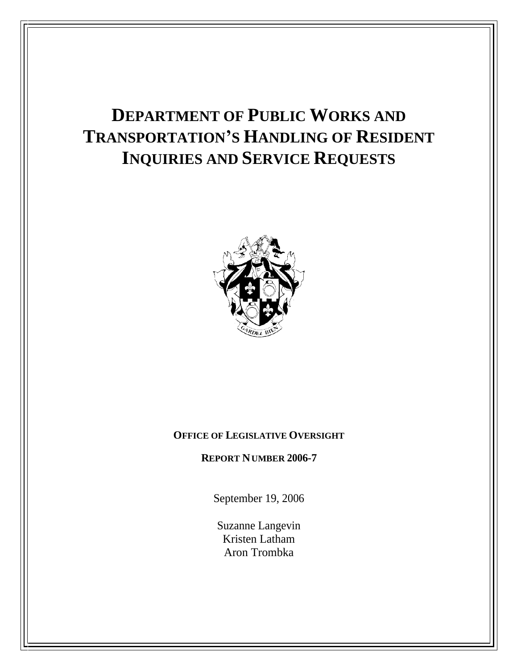# **DEPARTMENT OF PUBLIC WORKS AND TRANSPORTATION S HANDLING OF RESIDENT INQUIRIES AND SERVICE REQUESTS**



# **OFFICE OF LEGISLATIVE OVERSIGHT**

**REPORT NUMBER 2006-7**

September 19, 2006

Suzanne Langevin Kristen Latham and the set of the set of the set of the set of the set of the set of the set of the set of the set of the set of the set of the set of the set of the set of the set of the set of the set of the set of the s Aron Trombka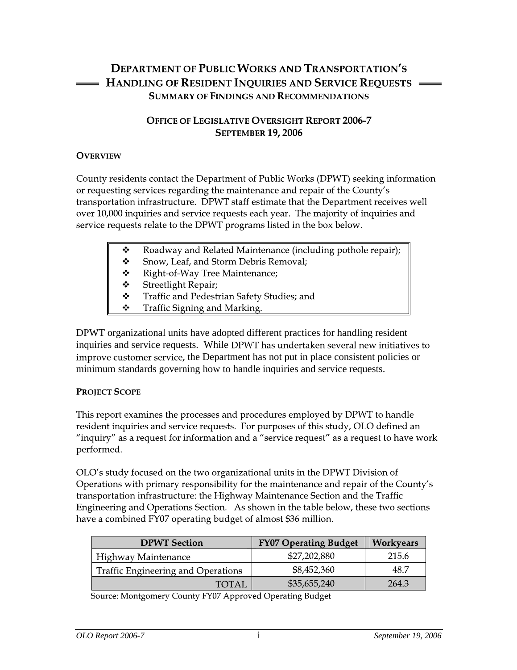# **DEPARTMENT OF PUBLIC WORKS AND TRANSPORTATION'S**  $=$  Handling of Resident Inquiries and Service Requests  $=$ **SUMMARY OF FINDINGS AND RECOMMENDATIONS**

# **OFFICE OF LEGISLATIVE OVERSIGHT REPORT 2006-7 SEPTEMBER 19, 2006**

## **OVERVIEW**

County residents contact the Department of Public Works (DPWT) seeking information or requesting services regarding the maintenance and repair of the County's transportation infrastructure. DPWT staff estimate that the Department receives well over 10,000 inquiries and service requests each year. The majority of inquiries and service requests relate to the DPWT programs listed in the box below.

- Roadway and Related Maintenance (including pothole repair);
- Snow, Leaf, and Storm Debris Removal;
- Right-of-Way Tree Maintenance;
- $\ddot{\cdot}$ Streetlight Repair;
- $\ddot{\cdot}$ Traffic and Pedestrian Safety Studies; and
- Traffic Signing and Marking.

inquiries and service requests. While DPWT has undertaken several new initiatives to improve customer service, the Department has not put in place consistent policies or minimum standards governing how to handle inquiries and service requests.

*OLO's* entransidental units have adopted different practices for handling resident<br>
inquiries and service requests. While DPWT has undertaken several new initiatives to<br>
improve customer service, the Department has not

| <b>DPWT</b> Section                | <b>FY07 Operating Budget</b> | <b>Workyears</b> |
|------------------------------------|------------------------------|------------------|
| Highway Maintenance                | \$27,202,880                 | 215.6            |
| Traffic Engineering and Operations | \$8,452,360                  | 48.7             |
| TOTAL.                             | \$35,655,240                 | 264.3            |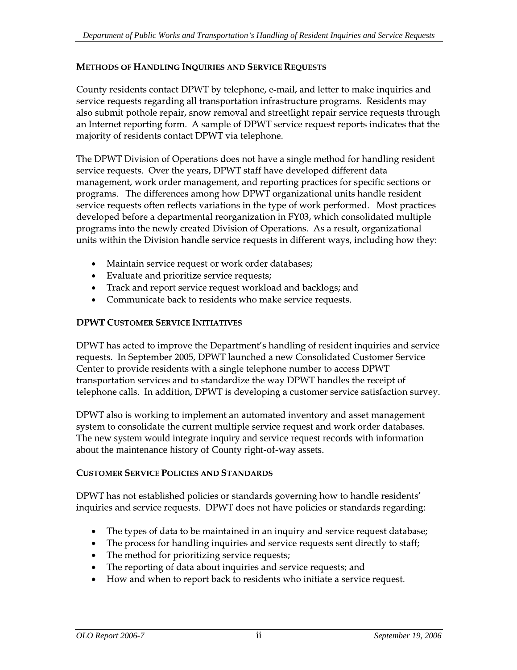### **METHODS OF HANDLING INQUIRIES AND SERVICE REQUESTS**

County residents contact DPWT by telephone, e-mail, and letter to make inquiries and service requests regarding all transportation infrastructure programs. Residents may also submit pothole repair, snow removal and streetlight repair service requests through an Internet reporting form. A sample of DPWT service request reports indicates that the majority of residents contact DPWT via telephone.

The DPWT Division of Operations does not have a single method for handling resident service requests. Over the years, DPWT staff have developed different data management, work order management, and reporting practices for specific sections or programs. The differences among how DPWT organizational units handle resident service requests often reflects variations in the type of work performed. Most practices developed before a departmental reorganization in FY03, which consolidated multiple programs into the newly created Division of Operations. As a result, organizational units within the Division handle service requests in different ways, including how they:

- Maintain service request or work order databases;  $\bullet$
- Evaluate and prioritize service requests;  $\bullet$
- Track and report service request workload and backlogs; and  $\bullet$
- Communicate back to residents who make service requests.  $\bullet$

### **DPWT CUSTOMER SERVICE INITIATIVES**

DPWT has acted to improve the Department's handling of resident inquiries and service requests. In September 2005, DPWT launched a new Consolidated Customer Service Center to provide residents with a single telephone number to access DPWT transportation services and to standardize the way DPWT handles the receipt of telephone calls. In addition, DPWT is developing a customer service satisfaction survey.

DPWT also is working to implement an automated inventory and asset management system to consolidate the current multiple service request and work order databases. about the maintenance history of County right-of-way assets.

**The new system would integrate inquiry and service request records with information**<br>about the maintenance history of County right-of-way assets.<br>**CUSTOMER SERVICE POLICIES AND STANDARDS**<br>DPWT has not established policies

- 
- 
- 
- 
-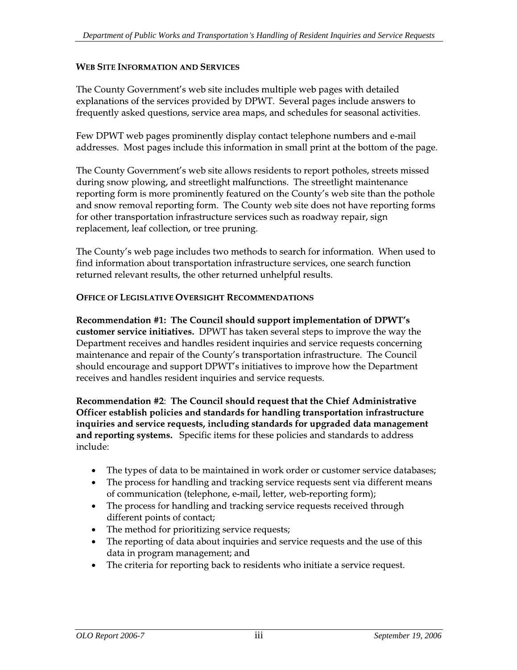### **WEB SITE INFORMATION AND SERVICES**

The County Government's web site includes multiple web pages with detailed explanations of the services provided by DPWT. Several pages include answers to frequently asked questions, service area maps, and schedules for seasonal activities.

Few DPWT web pages prominently display contact telephone numbers and e-mail addresses. Most pages include this information in small print at the bottom of the page.

The County Government's web site allows residents to report potholes, streets missed during snow plowing, and streetlight malfunctions. The streetlight maintenance reporting form is more prominently featured on the County's web site than the pothole and snow removal reporting form. The County web site does not have reporting forms for other transportation infrastructure services such as roadway repair, sign replacement, leaf collection, or tree pruning.

The County's web page includes two methods to search for information. When used to find information about transportation infrastructure services, one search function returned relevant results, the other returned unhelpful results.

### **OFFICE OF LEGISLATIVE OVERSIGHT RECOMMENDATIONS**

Recommendation #1: The Council should support implementation of DPWT's customer service initiatives. DPWT has taken several steps to improve the way the Department receives and handles resident inquiries and service requests concerning maintenance and repair of the County's transportation infrastructure. The Council should encourage and support DPWT's initiatives to improve how the Department receives and handles resident inquiries and service requests.

Recommendation #2: The Council should request that the Chief Administrative Officer establish policies and standards for handling transportation infrastructure inquiries and service requests, including standards for upgraded data management and reporting systems. Specific items for these policies and standards to address include:

- The types of data to be maintained in work order or customer service databases;  $\bullet$
- The process for handling and tracking service requests sent via different means of communication (telephone, e-mail, letter, web-reporting form);
- The process for handling and tracking service requests received through  $\bullet$ different points of contact;
- The method for prioritizing service requests;
- The reporting of data about inquiries and service requests and the use of this  $\bullet$ data in program management; and
- The criteria for reporting back to residents who initiate a service request.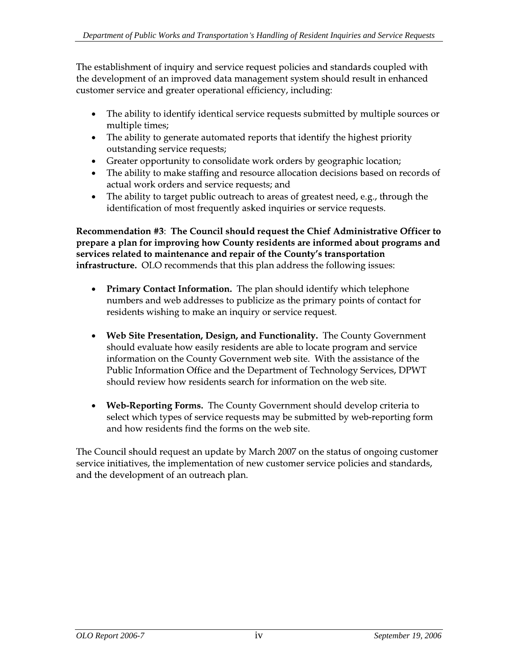The establishment of inquiry and service request policies and standards coupled with the development of an improved data management system should result in enhanced customer service and greater operational efficiency, including:

- $\bullet$ The ability to identify identical service requests submitted by multiple sources or multiple times;
- The ability to generate automated reports that identify the highest priority  $\bullet$ outstanding service requests;
- Greater opportunity to consolidate work orders by geographic location;
- The ability to make staffing and resource allocation decisions based on records of actual work orders and service requests; and
- The ability to target public outreach to areas of greatest need, e.g., through the identification of most frequently asked inquiries or service requests.

Recommendation #3: The Council should request the Chief Administrative Officer to prepare a plan for improving how County residents are informed about programs and services related to maintenance and repair of the County's transportation infrastructure. OLO recommends that this plan address the following issues:

- Primary Contact Information. The plan should identify which telephone  $\bullet$ numbers and web addresses to publicize as the primary points of contact for residents wishing to make an inquiry or service request.
- Web Site Presentation, Design, and Functionality. The County Government should evaluate how easily residents are able to locate program and service information on the County Government web site. With the assistance of the Public Information Office and the Department of Technology Services, DPWT should review how residents search for information on the web site.
- Web-Reporting Forms. The County Government should develop criteria to  $\bullet$ select which types of service requests may be submitted by web-reporting form and how residents find the forms on the web site.

The Council should request an update by March 2007 on the status of ongoing customer service initiatives, the implementation of new customer service policies and standards, and the development of an outreach plan.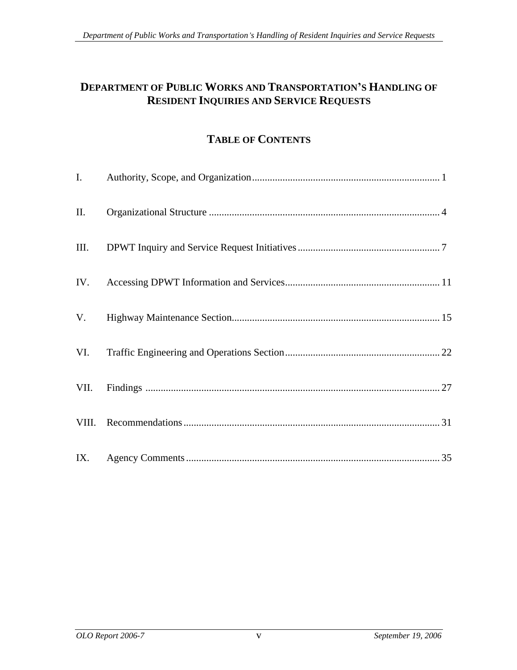# **RESIDENT INQUIRIES AND SERVICE REQUESTS**

# **TABLE OF CONTENTS**

| <b>DEPARTMENT OF PUBLIC WORKS AND TRANSPORTATION'S HANDLING OF</b><br><b>RESIDENT INQUIRIES AND SERVICE REQUESTS</b> |  |
|----------------------------------------------------------------------------------------------------------------------|--|
| <b>TABLE OF CONTENTS</b>                                                                                             |  |
| Authority, Scope, and Organization                                                                                   |  |
|                                                                                                                      |  |
|                                                                                                                      |  |
| IV. Accessing DPWT Information and Services                                                                          |  |
| 15                                                                                                                   |  |
| VI. Traffic Engineering and Operations Section<br>22                                                                 |  |
| VII. Findings<br>.27                                                                                                 |  |
| VIII. Recommendations                                                                                                |  |
|                                                                                                                      |  |
|                                                                                                                      |  |
|                                                                                                                      |  |
|                                                                                                                      |  |
|                                                                                                                      |  |
| September 19, 2006<br>OLO Report 2006-7<br>$\mathbf{V}$                                                              |  |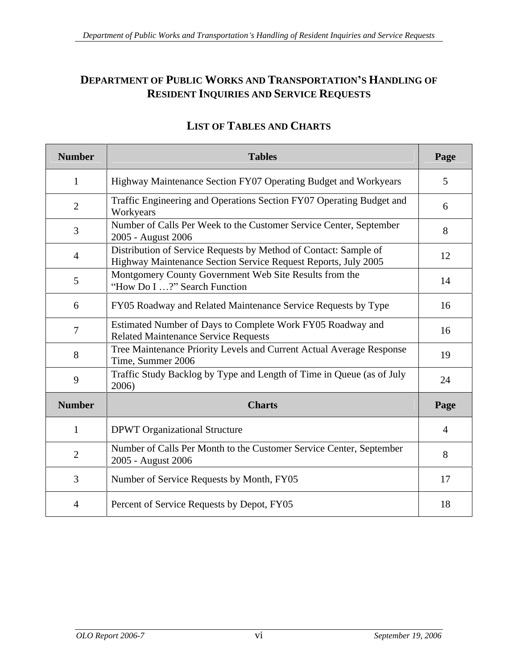# **RESIDENT INQUIRIES AND SERVICE REQUESTS**

|                             | <b>DEPARTMENT OF PUBLIC WORKS AND TRANSPORTATION'S HANDLING OF</b><br><b>RESIDENT INQUIRIES AND SERVICE REQUESTS</b>               |         |
|-----------------------------|------------------------------------------------------------------------------------------------------------------------------------|---------|
|                             | <b>LIST OF TABLES AND CHARTS</b>                                                                                                   |         |
| <b>Number</b>               | <b>Tables</b>                                                                                                                      | Page    |
|                             | Highway Maintenance Section FY07 Operating Budget and Workyears                                                                    |         |
|                             | Traffic Engineering and Operations Section FY07 Operating Budget and<br>Workyears                                                  |         |
|                             | Number of Calls Per Week to the Customer Service Center, September<br>2005 - August 2006                                           |         |
|                             | Distribution of Service Requests by Method of Contact: Sample of<br>Highway Maintenance Section Service Request Reports, July 2005 | 12      |
|                             | Montgomery County Government Web Site Results from the<br>"How Do I ?" Search Function                                             | 14      |
| 6                           | FY05 Roadway and Related Maintenance Service Requests by Type                                                                      | 16      |
|                             | Estimated Number of Days to Complete Work FY05 Roadway and<br><b>Related Maintenance Service Requests</b>                          | 16      |
| 8                           | Tree Maintenance Priority Levels and Current Actual Average Response<br>Time, Summer 2006                                          | 19      |
| $\alpha$                    | Traffic Study Backlog by Type and Length of Time in Queue (as of July<br>2006                                                      | 24      |
| <b>Number</b>               | <b>Charts</b>                                                                                                                      | Page    |
|                             | <b>DPWT</b> Organizational Structure                                                                                               |         |
| $\bigcap$<br>$\overline{a}$ | Number of Calls Per Month to the Customer Service Center, September<br>2005 - August 2006                                          | $\circ$ |
|                             | Number of Service Requests by Month, FY05                                                                                          | 17      |
|                             | Percent of Service Requests by Depot, FY05                                                                                         | 18      |
|                             |                                                                                                                                    |         |
|                             |                                                                                                                                    |         |
|                             |                                                                                                                                    |         |
|                             |                                                                                                                                    |         |
|                             | OLO Report 2006-7<br>September 19, 2006<br>vi                                                                                      |         |

# **LIST OF TABLES AND CHARTS**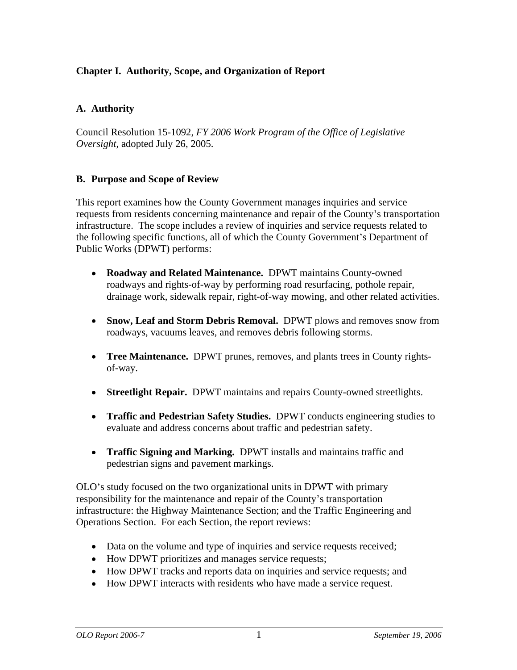# **A. Authority**

Council Resolution 15-1092, *FY 2006 Work Program of the Office of Legislative Oversight*, adopted July 26, 2005.

### **B. Purpose and Scope of Review**

**Chapter I. Authority, Scope, and Organization of Report**<br> **A. Authority**<br>
Comeal Resolution 15-1092. *PT* 2006 *Work Program of the Office of Lagislative*<br> **Organization is Copyrightic and Copyright and Comeaning and Copy** This report examines how the County Government manages inquiries and service requests from residents concerning maintenance and repair of the County's transportation infrastructure. The scope includes a review of inquiries and service requests related to the following specific functions, all of which the County Government s Department of Public Works (DPWT) performs:

- **Roadway and Related Maintenance.** DPWT maintains County-owned roadways and rights-of-way by performing road resurfacing, pothole repair, drainage work, sidewalk repair, right-of-way mowing, and other related activities.
- **Snow, Leaf and Storm Debris Removal.** DPWT plows and removes snow from roadways, vacuums leaves, and removes debris following storms.
- **Tree Maintenance.** DPWT prunes, removes, and plants trees in County rights of-way.
- **Streetlight Repair.** DPWT maintains and repairs County-owned streetlights.
- **Traffic and Pedestrian Safety Studies.** DPWT conducts engineering studies to evaluate and address concerns about traffic and pedestrian safety.
- **Traffic Signing and Marking.** DPWT installs and maintains traffic and pedestrian signs and pavement markings.

OLO s study focused on the two organizational units in DPWT with primary responsibility for the maintenance and repair of the County's transportation infrastructure: the Highway Maintenance Section; and the Traffic Engineering and Operations Section. For each Section, the report reviews:

- Data on the volume and type of inquiries and service requests received;
- How DPWT prioritizes and manages service requests;
- How DPWT tracks and reports data on inquiries and service requests; and
- How DPWT interacts with residents who have made a service request.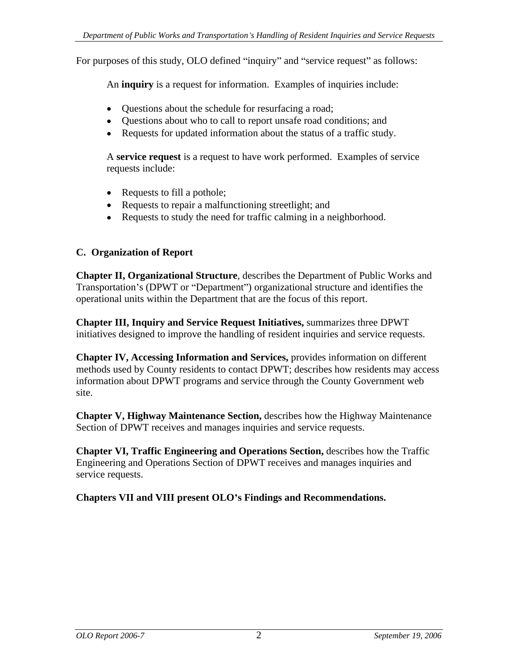For purposes of this study, OLO defined "inquiry" and "service request" as follows:

An **inquiry** is a request for information. Examples of inquiries include:

- Questions about the schedule for resurfacing a road;
- Questions about who to call to report unsafe road conditions; and
- Requests for updated information about the status of a traffic study.

A **service request** is a request to have work performed. Examples of service requests include:

- Requests to fill a pothole;
- Requests to repair a malfunctioning streetlight; and
- Requests to study the need for traffic calming in a neighborhood.

# **C. Organization of Report**

**Chapter II, Organizational Structure**, describes the Department of Public Works and Transportation's (DPWT or "Department") organizational structure and identifies the operational units within the Department that are the focus of this report.

**Chapter III, Inquiry and Service Request Initiatives,** summarizes three DPWT initiatives designed to improve the handling of resident inquiries and service requests.

**Chapter IV, Accessing Information and Services,** provides information on different methods used by County residents to contact DPWT; describes how residents may access information about DPWT programs and service through the County Government web site.

**Chapter V, Highway Maintenance Section,** describes how the Highway Maintenance Section of DPWT receives and manages inquiries and service requests.

**Chapter VI, Traffic Engineering and Operations Section,** describes how the Traffic Engineering and Operations Section of DPWT receives and manages inquiries and service requests.

**Chapters VII and VIII present OLO s Findings and Recommendations.**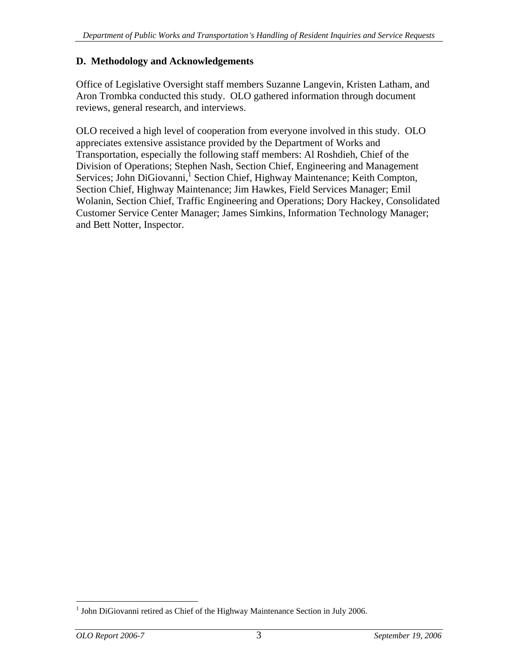Office of Legislative Oversight staff members Suzanne Langevin, Kristen Latham, and Aron Trombka conducted this study. OLO gathered information through document reviews, general research, and interviews.

**D. Methodology and Acknowledgements**<br>
OCHO of Legislative Oversight staff members Suzanno Langvoin, Kristen Latinum, and<br>
Decomposition of the state of the control and state with control and the state of<br>
D. Conceived a h OLO received a high level of cooperation from everyone involved in this study. OLO appreciates extensive assistance provided by the Department of Works and Transportation, especially the following staff members: Al Roshdieh, Chief of the Division of Operations; Stephen Nash, Section Chief, Engineering and Management Services; John DiGiovanni,<sup>1</sup> Section Chief, Highway Maintenance; Keith Compton, Section Chief, Highway Maintenance; Jim Hawkes, Field Services Manager; Emil Wolanin, Section Chief, Traffic Engineering and Operations; Dory Hackey, Consolidated Customer Service Center Manager; James Simkins, Information Technology Manager; and Bett Notter, Inspector.

 <sup>1</sup> John DiGiovanni retired as Chief of the Highway Maintenance Section in July 2006.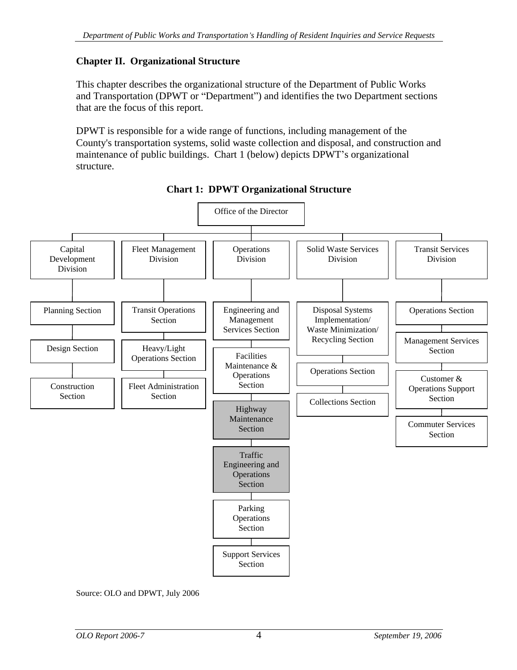This chapter describes the organizational structure of the Department of Public Works and Transportation (DPWT or "Department") and identifies the two Department sections that are the focus of this report.

DPWT is responsible for a wide range of functions, including management of the County's transportation systems, solid waste collection and disposal, and construction and maintenance of public buildings. Chart 1 (below) depicts DPWT's organizational structure.



**Chart 1: DPWT Organizational Structure** 

Source: OLO and DPWT, July 2006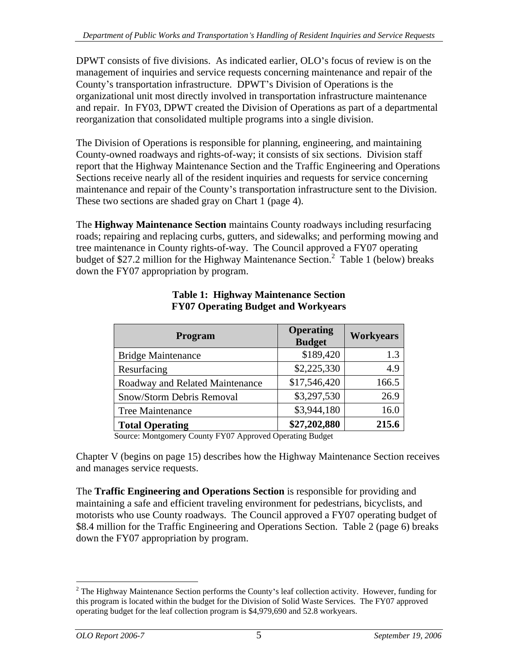|                               | DPWT consists of five divisions. As indicated earlier, OLO's focus of review is on the<br>management of inquiries and service requests concerning maintenance and repair of the<br>County's transportation infrastructure. DPWT's Division of Operations is the<br>organizational unit most directly involved in transportation infrastructure maintenance<br>and repair. In FY03, DPWT created the Division of Operations as part of a departmental<br>reorganization that consolidated multiple programs into a single division. |                                   |                    |
|-------------------------------|------------------------------------------------------------------------------------------------------------------------------------------------------------------------------------------------------------------------------------------------------------------------------------------------------------------------------------------------------------------------------------------------------------------------------------------------------------------------------------------------------------------------------------|-----------------------------------|--------------------|
|                               | The Division of Operations is responsible for planning, engineering, and maintaining                                                                                                                                                                                                                                                                                                                                                                                                                                               |                                   |                    |
|                               | County-owned roadways and rights-of-way; it consists of six sections. Division staff                                                                                                                                                                                                                                                                                                                                                                                                                                               |                                   |                    |
|                               | report that the Highway Maintenance Section and the Traffic Engineering and Operations                                                                                                                                                                                                                                                                                                                                                                                                                                             |                                   |                    |
|                               | Sections receive nearly all of the resident inquiries and requests for service concerning                                                                                                                                                                                                                                                                                                                                                                                                                                          |                                   |                    |
|                               | maintenance and repair of the County's transportation infrastructure sent to the Division.<br>These two sections are shaded gray on Chart 1 (page 4).                                                                                                                                                                                                                                                                                                                                                                              |                                   |                    |
|                               | The Highway Maintenance Section maintains County roadways including resurfacing<br>roads; repairing and replacing curbs, gutters, and sidewalks; and performing mowing and<br>tree maintenance in County rights-of-way. The Council approved a FY07 operating<br>budget of \$27.2 million for the Highway Maintenance Section. <sup>2</sup> Table 1 (below) breaks<br>down the FY07 appropriation by program.                                                                                                                      |                                   |                    |
|                               | <b>Table 1: Highway Maintenance Section</b><br><b>FY07 Operating Budget and Workyears</b>                                                                                                                                                                                                                                                                                                                                                                                                                                          |                                   |                    |
|                               | Program                                                                                                                                                                                                                                                                                                                                                                                                                                                                                                                            | <b>Operating</b><br><b>Budget</b> | Workyears          |
|                               | <b>Bridge Maintenance</b>                                                                                                                                                                                                                                                                                                                                                                                                                                                                                                          | \$189,420                         |                    |
| Resurfacing                   |                                                                                                                                                                                                                                                                                                                                                                                                                                                                                                                                    | \$2,225,330                       | 4.9                |
|                               | Roadway and Related Maintenance                                                                                                                                                                                                                                                                                                                                                                                                                                                                                                    | \$17,546,420                      | 166.5              |
|                               | Snow/Storm Debris Removal                                                                                                                                                                                                                                                                                                                                                                                                                                                                                                          | \$3,297,530                       | 26.9               |
| Tree Maintenance              |                                                                                                                                                                                                                                                                                                                                                                                                                                                                                                                                    | \$3,944,180                       | 16.0               |
| <b>Total Operating</b>        |                                                                                                                                                                                                                                                                                                                                                                                                                                                                                                                                    | \$27,202,880                      | 215.6              |
|                               | Source: Montgomery County FY07 Approved Operating Budget                                                                                                                                                                                                                                                                                                                                                                                                                                                                           |                                   |                    |
| and manages service requests. | Chapter V (begins on page 15) describes how the Highway Maintenance Section receives                                                                                                                                                                                                                                                                                                                                                                                                                                               |                                   |                    |
|                               | The Traffic Engineering and Operations Section is responsible for providing and<br>maintaining a safe and efficient traveling environment for pedestrians, bicyclists, and<br>motorists who use County roadways. The Council approved a FY07 operating budget of<br>\$8.4 million for the Traffic Engineering and Operations Section. Table 2 (page 6) breaks<br>down the FY07 appropriation by program.                                                                                                                           |                                   |                    |
|                               | $2^2$ The Highway Maintenance Section performs the County's leaf collection activity. However, funding for<br>this program is located within the budget for the Division of Solid Waste Services. The FY07 approved<br>operating budget for the leaf collection program is \$4,979,690 and 52.8 workyears.                                                                                                                                                                                                                         |                                   |                    |
| OLO Report 2006-7             |                                                                                                                                                                                                                                                                                                                                                                                                                                                                                                                                    |                                   | September 19, 2006 |

# **Table 1: Highway Maintenance Section FY07 Operating Budget and Workyears**

<sup>&</sup>lt;sup>2</sup> The Highway Maintenance Section performs the County's leaf collection activity. However, funding for <sup>2</sup> this program is located within the budget for the Division of Solid Waste Services. The FY07 approved operating budget for the leaf collection program is \$4,979,690 and 52.8 workyears.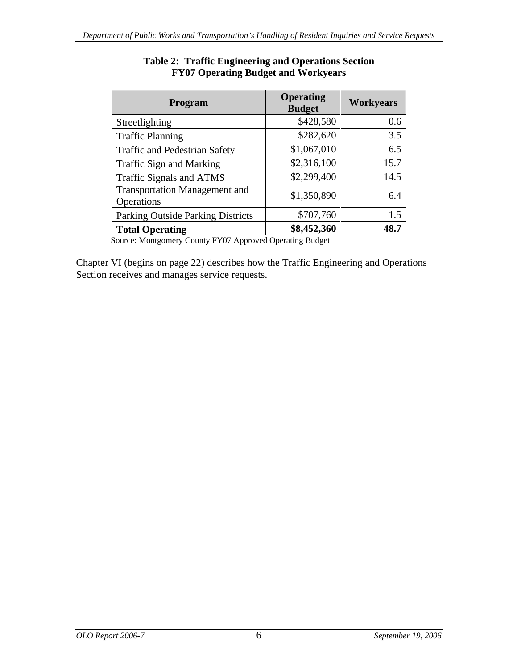| \$428,580<br>0.6<br>$\frac{3.5}{6.5}$<br>\$282,620<br>\$1,067,010<br>15.7<br>\$2,316,100<br>14.5<br>\$2,299,400<br>6.4<br>\$1,350,890<br>\$707,760<br>1.5<br>48.7<br>\$8,452,360<br>Source: Montgomery County FY07 Approved Operating Budget<br>Chapter VI (begins on page 22) describes how the Traffic Engineering and Operations |
|-------------------------------------------------------------------------------------------------------------------------------------------------------------------------------------------------------------------------------------------------------------------------------------------------------------------------------------|
|                                                                                                                                                                                                                                                                                                                                     |
|                                                                                                                                                                                                                                                                                                                                     |
|                                                                                                                                                                                                                                                                                                                                     |
|                                                                                                                                                                                                                                                                                                                                     |
|                                                                                                                                                                                                                                                                                                                                     |
|                                                                                                                                                                                                                                                                                                                                     |
|                                                                                                                                                                                                                                                                                                                                     |
|                                                                                                                                                                                                                                                                                                                                     |
|                                                                                                                                                                                                                                                                                                                                     |
|                                                                                                                                                                                                                                                                                                                                     |

# **FY07 Operating Budget and Workyears**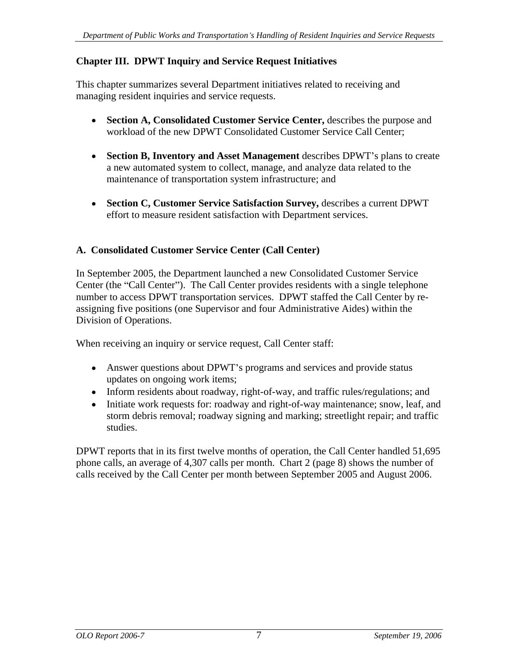This chapter summarizes several Department initiatives related to receiving and managing resident inquiries and service requests.

- **Section A, Consolidated Customer Service Center,** describes the purpose and workload of the new DPWT Consolidated Customer Service Call Center;
- **Section B, Inventory and Asset Management** describes DPWT's plans to create a new automated system to collect, manage, and analyze data related to the maintenance of transportation system infrastructure; and
- **Section C, Customer Service Satisfaction Survey,** describes a current DPWT effort to measure resident satisfaction with Department services.

# **A. Consolidated Customer Service Center (Call Center)**

**Chapter TII. DPWT Inquiry and Service Request Initiatives<br>
This degree variancies over all Department initiatives related to receiving and<br>
<b>ACONS ACONS ACONS ACONS ACONS ACONS ACONS ACONS ACONS**<br> **ACONS ACONS ACONS ACONS** In September 2005, the Department launched a new Consolidated Customer Service Center (the "Call Center"). The Call Center provides residents with a single telephone number to access DPWT transportation services. DPWT staffed the Call Center by re assigning five positions (one Supervisor and four Administrative Aides) within the Division of Operations.

When receiving an inquiry or service request, Call Center staff:

- Answer questions about DPWT's programs and services and provide status updates on ongoing work items;
- Inform residents about roadway, right-of-way, and traffic rules/regulations; and
- Initiate work requests for: roadway and right-of-way maintenance; snow, leaf, and storm debris removal; roadway signing and marking; streetlight repair; and traffic studies.

DPWT reports that in its first twelve months of operation, the Call Center handled 51,695 phone calls, an average of 4,307 calls per month. Chart 2 (page 8) shows the number of calls received by the Call Center per month between September 2005 and August 2006.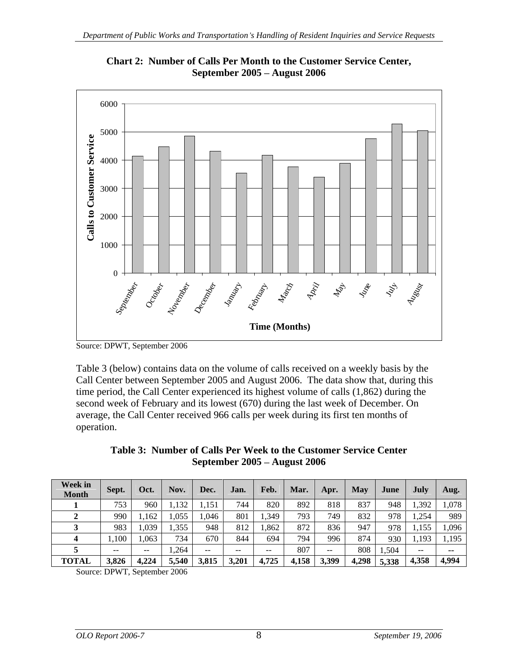

**September 2005 August 2006**

Source: DPWT, September 2006

Table 3 (below) contains data on the volume of calls received on a weekly basis by the Call Center between September 2005 and August 2006. The data show that, during this time period, the Call Center experienced its highest volume of calls (1,862) during the second week of February and its lowest (670) during the last week of December. On average, the Call Center received 966 calls per week during its first ten months of operation.

| Week in      |       |       | Oct.   Nov.   Dec.   Jan.   Feb. |               |       |                     |             |            | Mar.   Apr.   May   June   July                 |       |                 |                     |
|--------------|-------|-------|----------------------------------|---------------|-------|---------------------|-------------|------------|-------------------------------------------------|-------|-----------------|---------------------|
| Month        | Sept. |       |                                  |               |       |                     |             |            |                                                 |       |                 | $\blacksquare$ Aug. |
|              | 753   | 960   | 1,132                            | 1,151         | 744   | 820                 | 892         | 818        | 837                                             |       | 948 1,392 1,078 |                     |
|              |       | 1,162 | 1,055                            | 1,046         | 801   | 1,349               | 793         | 749        | 832                                             |       | 978 1,254       | 989                 |
|              | 983   | 1,039 | 1,355                            | 948           |       | 812 1,862           | 872         | 836        | 947                                             |       |                 | 978 1,155 1,096     |
|              | 1,100 | 1,063 | 734                              | 670           | 844   | 094                 | 794         | 996        | 874                                             |       | 930 1,193 1,195 |                     |
|              |       | $- -$ | 1,264                            | $\sim$ $\sim$ | $- -$ | $ -$                | 807         | $\sim$ $-$ | 808                                             | 1.504 | $ -$            | $- -$               |
| <b>TOTAL</b> | 3,826 | 4,224 | $\vert 5,540 \vert 3,815 \vert$  |               | 3,201 | $\frac{1}{4}$ 4,725 | 4,158 3,399 |            | $9 \mid 4,298 \mid 5,338 \mid 4,358 \mid 4,994$ |       |                 |                     |

Source: DPWT, September 2006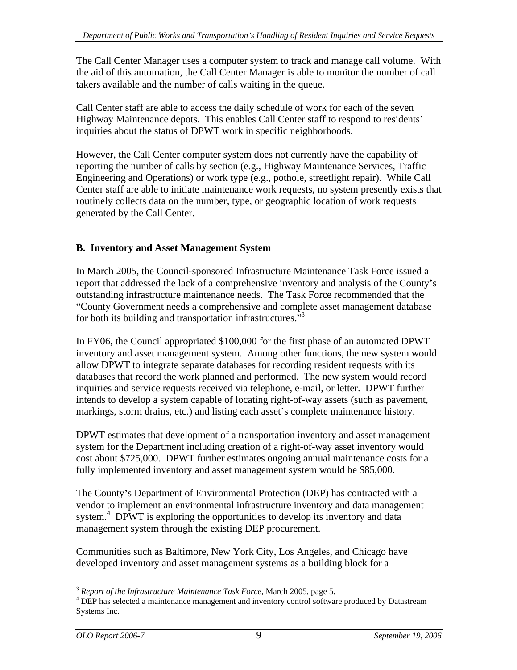The Call Center Manager uses a computer system to track and manage call volume. With the aid of this automation, the Call Center Manager is able to monitor the number of call takers available and the number of calls waiting in the queue.

Call Center staff are able to access the daily schedule of work for each of the seven Highway Maintenance depots. This enables Call Center staff to respond to residents' inquiries about the status of DPWT work in specific neighborhoods.

However, the Call Center computer system does not currently have the capability of reporting the number of calls by section (e.g., Highway Maintenance Services, Traffic Engineering and Operations) or work type (e.g., pothole, streetlight repair). While Call Center staff are able to initiate maintenance work requests, no system presently exists that routinely collects data on the number, type, or geographic location of work requests generated by the Call Center.

# **B. Inventory and Asset Management System**

In March 2005, the Council-sponsored Infrastructure Maintenance Task Force issued a report that addressed the lack of a comprehensive inventory and analysis of the County's outstanding infrastructure maintenance needs. The Task Force recommended that the County Government needs a comprehensive and complete asset management database for both its building and transportation infrastructures. $35$ 

In FY06, the Council appropriated \$100,000 for the first phase of an automated DPWT inventory and asset management system. Among other functions, the new system would allow DPWT to integrate separate databases for recording resident requests with its databases that record the work planned and performed. The new system would record inquiries and service requests received via telephone, e-mail, or letter. DPWT further intends to develop a system capable of locating right-of-way assets (such as pavement, markings, storm drains, etc.) and listing each asset's complete maintenance history.

DPWT estimates that development of a transportation inventory and asset management system for the Department including creation of a right-of-way asset inventory would cost about \$725,000. DPWT further estimates ongoing annual maintenance costs for a fully implemented inventory and asset management system would be \$85,000.

The County's Department of Environmental Protection (DEP) has contracted with a vendor to implement an environmental infrastructure inventory and data management system.<sup>4</sup> DPWT is exploring the opportunities to develop its inventory and data management system through the existing DEP procurement.

Communities such as Baltimore, New York City, Los Angeles, and Chicago have developed inventory and asset management systems as a building block for a

 $3$  Report of the Infrastructure Maintenance Task Force, March 2005, page 5.

<sup>&</sup>lt;sup>4</sup> DEP has selected a maintenance management and inventory control software produced by Datastream Systems Inc.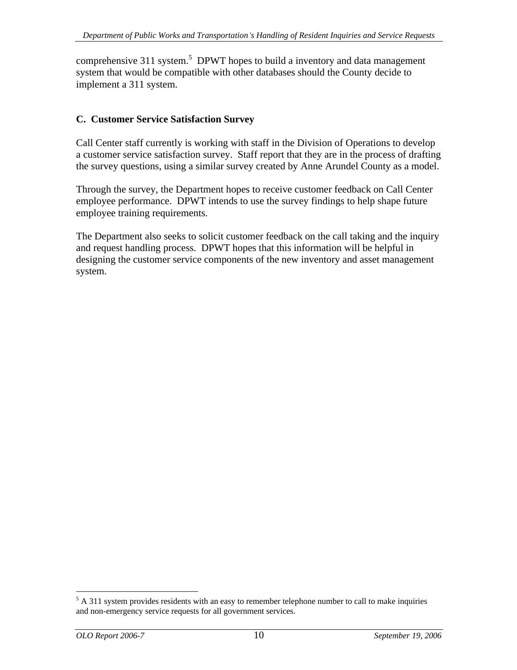comprehensive 311 system.<sup>5</sup> DPWT hopes to build a inventory and data management system that would be compatible with other databases should the County decide to implement a 311 system.

# **C. Customer Service Satisfaction Survey**

Call Center staff currently is working with staff in the Division of Operations to develop a customer service satisfaction survey. Staff report that they are in the process of drafting the survey questions, using a similar survey created by Anne Arundel County as a model.

Through the survey, the Department hopes to receive customer feedback on Call Center employee performance. DPWT intends to use the survey findings to help shape future employee training requirements.

The Department also seeks to solicit customer feedback on the call taking and the inquiry and request handling process. DPWT hopes that this information will be helpful in designing the customer service components of the new inventory and asset management system.

<sup>&</sup>lt;sup>5</sup> A 311 system provides residents with an easy to remember telephone number to call to make inquiries and non-emergency service requests for all government services.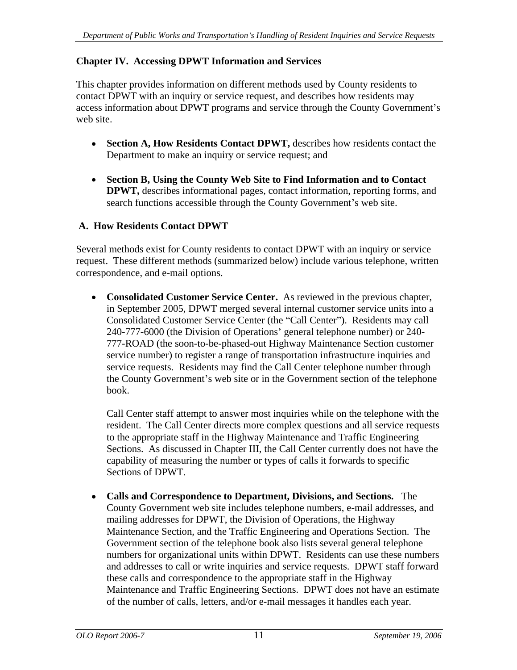This chapter provides information on different methods used by County residents to contact DPWT with an inquiry or service request, and describes how residents may access information about DPWT programs and service through the County Government's web site.

- **Section A, How Residents Contact DPWT,** describes how residents contact the Department to make an inquiry or service request; and
- **Section B, Using the County Web Site to Find Information and to Contact DPWT,** describes informational pages, contact information, reporting forms, and search functions accessible through the County Government's web site.

# **A. How Residents Contact DPWT**

Several methods exist for County residents to contact DPWT with an inquiry or service request. These different methods (summarized below) include various telephone, written correspondence, and e-mail options.

**Consolidated Customer Service Center.** As reviewed in the previous chapter, in September 2005, DPWT merged several internal customer service units into a Consolidated Customer Service Center (the "Call Center"). Residents may call 240-777-6000 (the Division of Operations' general telephone number) or 240-777-ROAD (the soon-to-be-phased-out Highway Maintenance Section customer service number) to register a range of transportation infrastructure inquiries and service requests. Residents may find the Call Center telephone number through the County Government's web site or in the Government section of the telephone book.

Call Center staff attempt to answer most inquiries while on the telephone with the resident. The Call Center directs more complex questions and all service requests to the appropriate staff in the Highway Maintenance and Traffic Engineering Sections. As discussed in Chapter III, the Call Center currently does not have the capability of measuring the number or types of calls it forwards to specific Sections of DPWT.

**Chapter IV.** Accessing DPWT Information and Services<br>
Discursive sinctification on different methods used by County resistents to<br>
Convention and the DNNT programs and service image the County Government's<br>
access informa **Calls and Correspondence to Department, Divisions, and Sections.** The County Government web site includes telephone numbers, e-mail addresses, and mailing addresses for DPWT, the Division of Operations, the Highway Maintenance Section, and the Traffic Engineering and Operations Section. The Government section of the telephone book also lists several general telephone numbers for organizational units within DPWT. Residents can use these numbers and addresses to call or write inquiries and service requests. DPWT staff forward these calls and correspondence to the appropriate staff in the Highway Maintenance and Traffic Engineering Sections. DPWT does not have an estimate of the number of calls, letters, and/or e-mail messages it handles each year.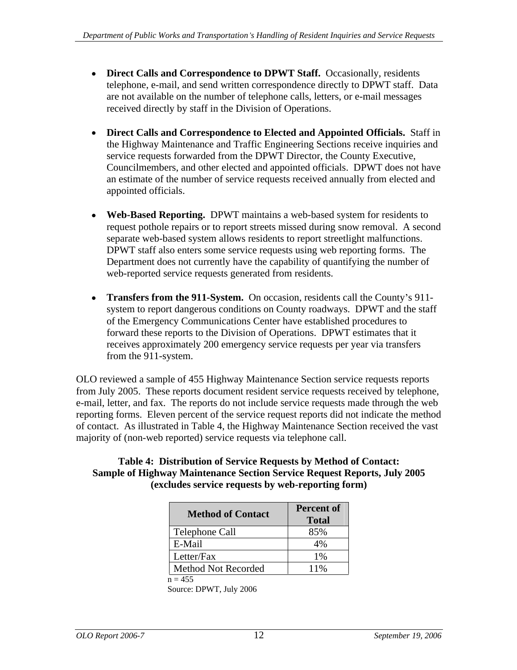- telephone, e-mail, and send written correspondence directly to DPWT staff. Data are not available on the number of telephone calls, letters, or e-mail messages received directly by staff in the Division of Operations.
- **Direct Calls and Correspondence to Elected and Appointed Officials.** Staff in the Highway Maintenance and Traffic Engineering Sections receive inquiries and service requests forwarded from the DPWT Director, the County Executive, Councilmembers, and other elected and appointed officials. DPWT does not have an estimate of the number of service requests received annually from elected and appointed officials.
- **Web-Based Reporting.** DPWT maintains a web-based system for residents to request pothole repairs or to report streets missed during snow removal. A second separate web-based system allows residents to report streetlight malfunctions. DPWT staff also enters some service requests using web reporting forms. The Department does not currently have the capability of quantifying the number of web-reported service requests generated from residents.
- **Transfers from the 911-System.** On occasion, residents call the County's 911system to report dangerous conditions on County roadways. DPWT and the staff of the Emergency Communications Center have established procedures to forward these reports to the Division of Operations. DPWT estimates that it receives approximately 200 emergency service requests per year via transfers from the 911-system.

• Direct Calls and Correspondence to DPWT Staff. Occasionally, residents are accurated to the number of Edephano. comall messages received directly by staff in the Division of Operations. Correspondence and correspondenc OLO reviewed a sample of 455 Highway Maintenance Section service requests reports from July 2005. These reports document resident service requests received by telephone, e-mail, letter, and fax. The reports do not include service requests made through the web reporting forms. Eleven percent of the service request reports did not indicate the method of contact. As illustrated in Table 4, the Highway Maintenance Section received the vast majority of (non-web reported) service requests via telephone call.

## **Table 4: Distribution of Service Requests by Method of Contact: Sample of Highway Maintenance Section Service Request Reports, July 2005 (excludes service requests by web-reporting form)**

| <b>Method of Contact</b> | <b>Percent of</b><br><b>Total</b> |
|--------------------------|-----------------------------------|
| Telephone Call           | 85%                               |
| E-Mail                   |                                   |
| Letter/Fax               |                                   |
| Method Not Recorded      | 11%                               |

n = 455<br>Source: DPWT, July 2006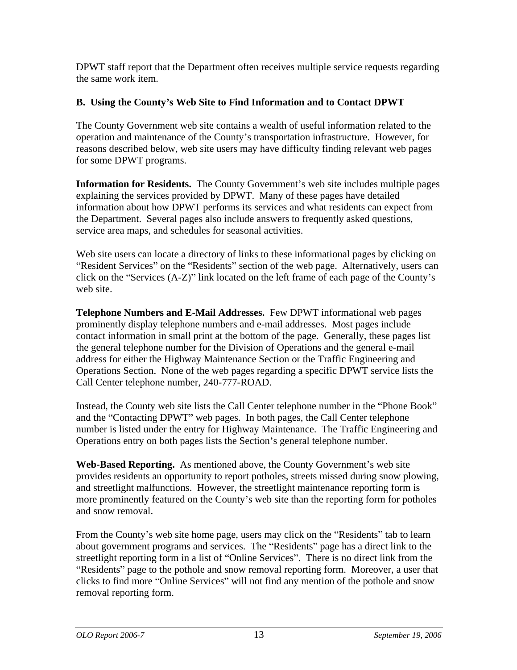the same work item.

# **B. Using the County s Web Site to Find Information and to Contact DPWT**

The County Government web site contains a wealth of useful information related to the operation and maintenance of the County s transportation infrastructure. However, for reasons described below, web site users may have difficulty finding relevant web pages for some DPWT programs.

**Information for Residents.** The County Government's web site includes multiple pages explaining the services provided by DPWT. Many of these pages have detailed information about how DPWT performs its services and what residents can expect from the Department. Several pages also include answers to frequently asked questions, service area maps, and schedules for seasonal activities.

Web site users can locate a directory of links to these informational pages by clicking on "Resident Services" on the "Residents" section of the web page. Alternatively, users can click on the "Services  $(A-Z)$ " link located on the left frame of each page of the County's web site.

*DVM*Y staff report 10ta the Department often receives multiple service requests regarding<br> **DVMY** said the County's Web Site to **Find Information and to Counter DPWT**<br> **D.** Using the County's Web Site to Find Information **Telephone Numbers and E-Mail Addresses.** Few DPWT informational web pages prominently display telephone numbers and e-mail addresses. Most pages include contact information in small print at the bottom of the page. Generally, these pages list the general telephone number for the Division of Operations and the general e-mail address for either the Highway Maintenance Section or the Traffic Engineering and Operations Section. None of the web pages regarding a specific DPWT service lists the Call Center telephone number, 240-777-ROAD.

Instead, the County web site lists the Call Center telephone number in the "Phone Book" and the "Contacting DPWT" web pages. In both pages, the Call Center telephone number is listed under the entry for Highway Maintenance. The Traffic Engineering and Operations entry on both pages lists the Section's general telephone number.

**Web-Based Reporting.** As mentioned above, the County Government's web site provides residents an opportunity to report potholes, streets missed during snow plowing, and streetlight malfunctions. However, the streetlight maintenance reporting form is more prominently featured on the County's web site than the reporting form for potholes and snow removal.

From the County's web site home page, users may click on the "Residents" tab to learn about government programs and services. The "Residents" page has a direct link to the streetlight reporting form in a list of "Online Services". There is no direct link from the "Residents" page to the pothole and snow removal reporting form. Moreover, a user that clicks to find more "Online Services" will not find any mention of the pothole and snow removal reporting form.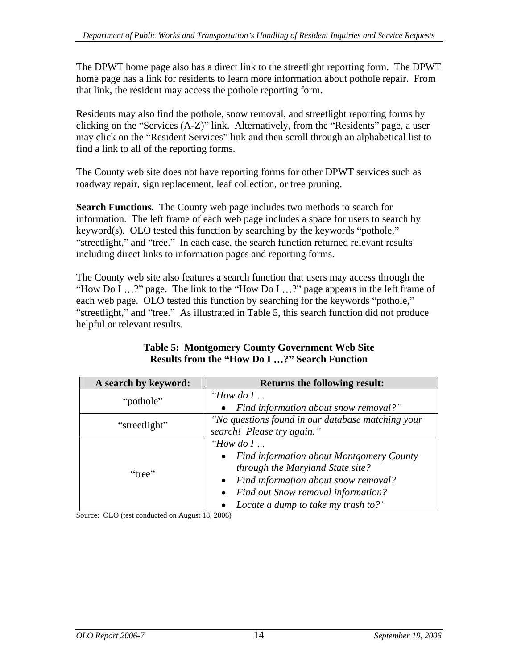The DPWT home page also has a direct link to the streetlight reporting form. The DPWT home page has a link for residents to learn more information about pothole repair. From that link, the resident may access the pothole reporting form.

Residents may also find the pothole, snow removal, and streetlight reporting forms by clicking on the "Services  $(A-Z)$ " link. Alternatively, from the "Residents" page, a user may click on the "Resident Services" link and then scroll through an alphabetical list to find a link to all of the reporting forms.

The County web site does not have reporting forms for other DPWT services such as roadway repair, sign replacement, leaf collection, or tree pruning.

**Search Functions.**The County web page includes two methods to search for information. The left frame of each web page includes a space for users to search by keyword(s). OLO tested this function by searching by the keywords "pothole," "streetlight," and "tree." In each case, the search function returned relevant results including direct links to information pages and reporting forms.

The County web site also features a search function that users may access through the "How Do I  $\ldots$ ?" page. The link to the "How Do I  $\ldots$ ?" page appears in the left frame of each web page. OLO tested this function by searching for the keywords "pothole," "streetlight," and "tree." As illustrated in Table 5, this search function did not produce helpful or relevant results.

| A search by keyword: | <b>Returns the following result:</b>              |
|----------------------|---------------------------------------------------|
| "pothole"            | "How do $I$                                       |
|                      | • Find information about snow removal?"           |
| "streetlight"        | "No questions found in our database matching your |
|                      | search! Please try again."                        |
|                      | "How do $I$                                       |
|                      | • Find information about Montgomery County        |
| "tree"               | through the Maryland State site?                  |
|                      | • Find information about snow removal?            |
|                      | • Find out Snow removal information?              |
|                      | • Locate a dump to take my trash to?"             |

**Table 5: Montgomery County Government Web Site Results from the "How Do I ...?" Search Function** 

Source: OLO (test conducted on August 18, 2006)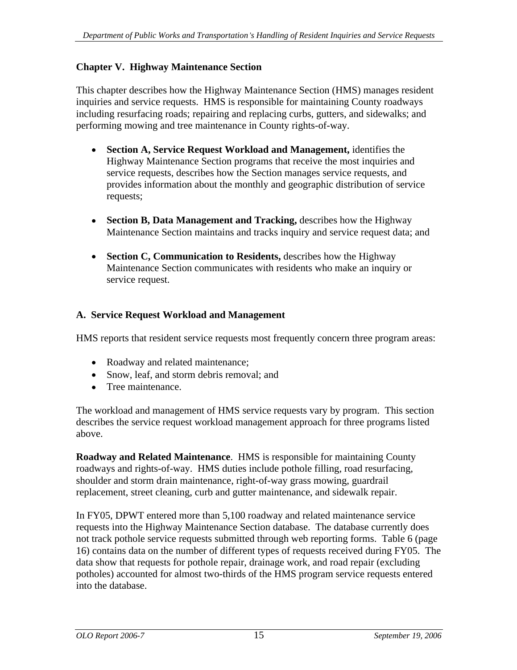This chapter describes how the Highway Maintenance Section (HMS) manages resident inquiries and service requests. HMS is responsible for maintaining County roadways including resurfacing roads; repairing and replacing curbs, gutters, and sidewalks; and performing mowing and tree maintenance in County rights-of-way.

- **Section A, Service Request Workload and Management,** identifies the Highway Maintenance Section programs that receive the most inquiries and service requests, describes how the Section manages service requests, and provides information about the monthly and geographic distribution of service requests;
- **Section B, Data Management and Tracking,** describes how the Highway Maintenance Section maintains and tracks inquiry and service request data; and
- **Section C, Communication to Residents,** describes how the Highway Maintenance Section communicates with residents who make an inquiry or service request.

# **A. Service Request Workload and Management**

HMS reports that resident service requests most frequently concern three program areas:

- Roadway and related maintenance;
- Snow, leaf, and storm debris removal; and
- Tree maintenance.

The workload and management of HMS service requests vary by program. This section describes the service request workload management approach for three programs listed above.

**Roadway and Related Maintenance**. HMS is responsible for maintaining County roadways and rights-of-way. HMS duties include pothole filling, road resurfacing, shoulder and storm drain maintenance, right-of-way grass mowing, guardrail replacement, street cleaning, curb and gutter maintenance, and sidewalk repair.

**Chapter V. Highway Maintenance Section** (MMS) manages resident<br>This chapter describes lowe the Highway Maintenance Section (HMS) manages resident<br>including resultations to the Highway Maintenance in County of the<br>set of In FY05, DPWT entered more than 5,100 roadway and related maintenance service requests into the Highway Maintenance Section database. The database currently does not track pothole service requests submitted through web reporting forms. Table 6 (page 16) contains data on the number of different types of requests received during FY05. The data show that requests for pothole repair, drainage work, and road repair (excluding potholes) accounted for almost two-thirds of the HMS program service requests entered into the database.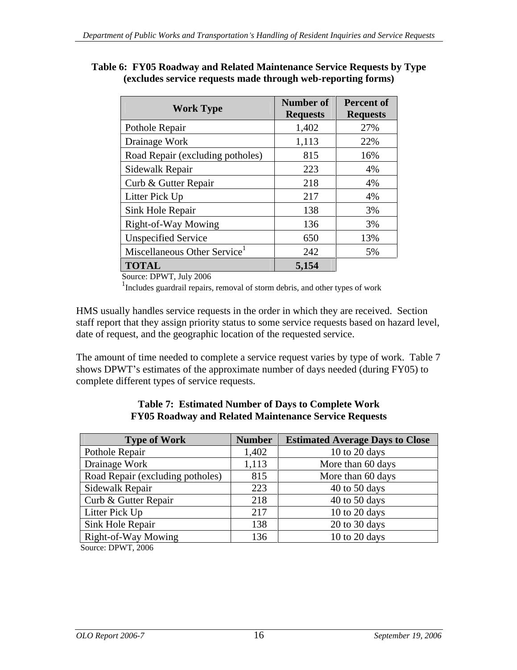| <b>Work Type</b>                                                                                                                                                                                                                                                                                                                                            | <b>Requests</b>                                                                           | Number of Percent of<br><b>Requests</b> |
|-------------------------------------------------------------------------------------------------------------------------------------------------------------------------------------------------------------------------------------------------------------------------------------------------------------------------------------------------------------|-------------------------------------------------------------------------------------------|-----------------------------------------|
| Pothole Repair                                                                                                                                                                                                                                                                                                                                              | 1,402                                                                                     | 27%                                     |
| Drainage Work                                                                                                                                                                                                                                                                                                                                               | 1,113                                                                                     | 22%                                     |
| Road Repair (excluding potholes)                                                                                                                                                                                                                                                                                                                            | 815                                                                                       | 16%                                     |
| Sidewalk Repair                                                                                                                                                                                                                                                                                                                                             | 223                                                                                       | 4%                                      |
| Curb & Gutter Repair                                                                                                                                                                                                                                                                                                                                        | 218                                                                                       | 4%                                      |
| Litter Pick Up                                                                                                                                                                                                                                                                                                                                              | 217                                                                                       | 4%                                      |
| Sink Hole Repair                                                                                                                                                                                                                                                                                                                                            | 138                                                                                       | 3%                                      |
| Right-of-Way Mowing                                                                                                                                                                                                                                                                                                                                         | 136                                                                                       | 3%                                      |
| <b>Unspecified Service</b>                                                                                                                                                                                                                                                                                                                                  | 650                                                                                       | 13%                                     |
| Miscellaneous Other Service <sup>1</sup>                                                                                                                                                                                                                                                                                                                    | 242                                                                                       | 5%                                      |
| <b>TOTAL</b><br>Source: DPWT, July 2006                                                                                                                                                                                                                                                                                                                     | 5,154                                                                                     |                                         |
|                                                                                                                                                                                                                                                                                                                                                             | <sup>1</sup> Includes guardrail repairs, removal of storm debris, and other types of work |                                         |
|                                                                                                                                                                                                                                                                                                                                                             |                                                                                           |                                         |
|                                                                                                                                                                                                                                                                                                                                                             |                                                                                           |                                         |
|                                                                                                                                                                                                                                                                                                                                                             |                                                                                           |                                         |
|                                                                                                                                                                                                                                                                                                                                                             |                                                                                           |                                         |
|                                                                                                                                                                                                                                                                                                                                                             |                                                                                           |                                         |
|                                                                                                                                                                                                                                                                                                                                                             |                                                                                           |                                         |
|                                                                                                                                                                                                                                                                                                                                                             |                                                                                           |                                         |
| HMS usually handles service requests in the order in which they are received. Section<br>staff report that they assign priority status to some service requests based on hazard level,<br>date of request, and the geographic location of the requested service.<br>The amount of time needed to complete a service request varies by type of work. Table 7 |                                                                                           |                                         |
| shows DPWT's estimates of the approximate number of days needed (during FY05) to                                                                                                                                                                                                                                                                            |                                                                                           |                                         |
| complete different types of service requests.                                                                                                                                                                                                                                                                                                               |                                                                                           |                                         |
|                                                                                                                                                                                                                                                                                                                                                             |                                                                                           |                                         |
| FY05 Roadway and Related Maintenance Service Requests                                                                                                                                                                                                                                                                                                       | Table 7: Estimated Number of Days to Complete Work                                        |                                         |
|                                                                                                                                                                                                                                                                                                                                                             |                                                                                           |                                         |
| Type of Work                                                                                                                                                                                                                                                                                                                                                | Number Estimated Average Days to Close                                                    |                                         |
| Pothole Repair                                                                                                                                                                                                                                                                                                                                              | 1,402                                                                                     | 10 to 20 days                           |
| Drainage Work                                                                                                                                                                                                                                                                                                                                               | 1,113                                                                                     | More than 60 days                       |
| Road Repair (excluding potholes)<br>Sidewalk Repair                                                                                                                                                                                                                                                                                                         | 815<br>223                                                                                | More than 60 days<br>$40$ to $50$ days  |
| Curb & Gutter Repair                                                                                                                                                                                                                                                                                                                                        | 218                                                                                       | 40 to 50 days                           |
| Litter Pick Up                                                                                                                                                                                                                                                                                                                                              | 217                                                                                       | 10 to 20 days                           |
| Sink Hole Repair                                                                                                                                                                                                                                                                                                                                            | 138                                                                                       | $\overline{20}$ to 30 days              |
| Right-of-Way Mowing<br>Source: DPWT, 2006                                                                                                                                                                                                                                                                                                                   | 136                                                                                       | $10$ to $20$ days                       |

# **(excludes service requests made through web-reporting forms)**

| <b>Type of Work</b>              |       | Number   Estimated Average Days to Close |
|----------------------------------|-------|------------------------------------------|
| Pothole Repair                   | 1,402 | 10 to 20 days                            |
| Drainage Work                    | , 113 | More than 60 days                        |
| Road Repair (excluding potholes) | 815   | More than 60 days                        |
| Sidewalk Repair                  | 223   | $40$ to $50$ days                        |
| Curb & Gutter Repair             | 218   | $40$ to $50$ days                        |
| Litter Pick Up                   | 217   | 10 to 20 days                            |
| Sink Hole Repair                 | 38    | $20$ to $30$ days                        |
| Right-of-Way Mowing              | 36    | 10 to 20 days                            |

### **Table 7: Estimated Number of Days to Complete Work FY05 Roadway and Related Maintenance Service Requests**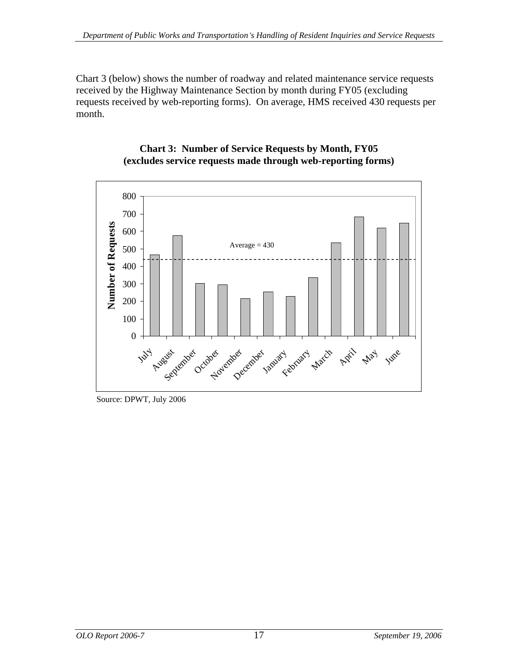received by the Highway Maintenance Section by month during FY05 (excluding requests received by web-reporting forms). On average, HMS received 430 requests per month.



# **Chart 3: Number of Service Requests by Month, FY05 (excludes service requests made through web-reporting forms)**

Source: DPWT, July 2006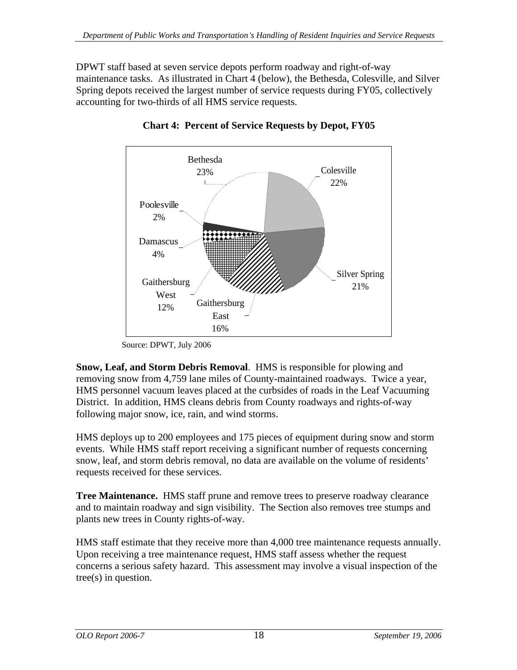maintenance tasks. As illustrated in Chart 4 (below), the Bethesda, Colesville, and Silver Spring depots received the largest number of service requests during FY05, collectively accounting for two-thirds of all HMS service requests.



**Chart 4: Percent of Service Requests by Depot, FY05**

**Snow, Leaf, and Storm Debris Removal**. HMS is responsible for plowing and removing snow from 4,759 lane miles of County-maintained roadways. Twice a year, HMS personnel vacuum leaves placed at the curbsides of roads in the Leaf Vacuuming District. In addition, HMS cleans debris from County roadways and rights-of-way following major snow, ice, rain, and wind storms.

HMS deploys up to 200 employees and 175 pieces of equipment during snow and storm events. While HMS staff report receiving a significant number of requests concerning snow, leaf, and storm debris removal, no data are available on the volume of residents requests received for these services.

**Tree Maintenance.** HMS staff prune and remove trees to preserve roadway clearance and to maintain roadway and sign visibility. The Section also removes tree stumps and plants new trees in County rights-of-way.<br>HMS staff estimate that they receive more than 4,000 tree maintenance requests annually.

Upon receiving a tree maintenance request, HMS staff assess whether the request concerns a serious safety hazard. This assessment may involve a visual inspection of the tree(s) in question.

Source: DPWT, July 2006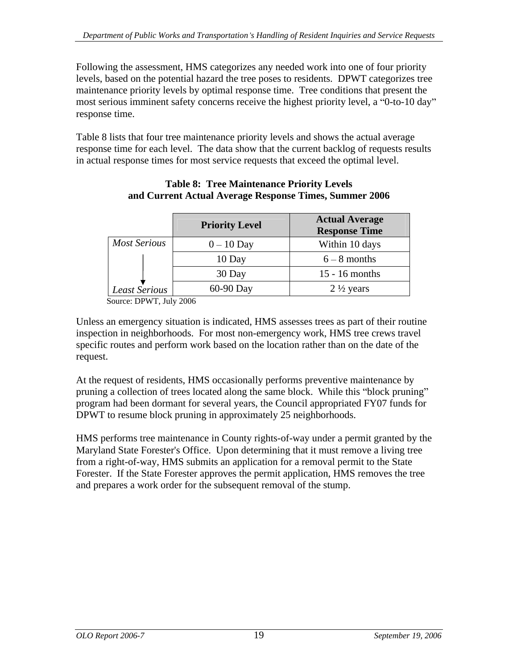Following the assessment, HMS categorizes any needed work into one of four priority levels, based on the potential hazard the tree poses to residents. DPWT categorizes tree maintenance priority levels by optimal response time. Tree conditions that present the most serious imminent safety concerns receive the highest priority level, a "0-to-10 day" response time.

Table 8 lists that four tree maintenance priority levels and shows the actual average response time for each level. The data show that the current backlog of requests results in actual response times for most service requests that exceed the optimal level.

|                     | <b>Priority Level</b> | <b>Actual Average</b><br><b>Response Time</b> |
|---------------------|-----------------------|-----------------------------------------------|
| <b>Most Serious</b> | $0-10$ Day            | Within 10 days                                |
|                     | 10 Day                | $6 - 8$ months                                |
|                     | 30 Day                | $15 - 16$ months                              |
| Least Serious       | 60-90 Day             | $2\frac{1}{2}$ years                          |

### **Table 8: Tree Maintenance Priority Levels and Current Actual Average Response Times, Summer 2006**

Source: DPWT, July 2006

Unless an emergency situation is indicated, HMS assesses trees as part of their routine inspection in neighborhoods. For most non-emergency work, HMS tree crews travel specific routes and perform work based on the location rather than on the date of the request.

At the request of residents, HMS occasionally performs preventive maintenance by pruning a collection of trees located along the same block. While this "block pruning" program had been dormant for several years, the Council appropriated FY07 funds for DPWT to resume block pruning in approximately 25 neighborhoods.

HMS performs tree maintenance in County rights-of-way under a permit granted by the Maryland State Forester's Office. Upon determining that it must remove a living tree from a right-of-way, HMS submits an application for a removal permit to the State Forester. If the State Forester approves the permit application, HMS removes the tree and prepares a work order for the subsequent removal of the stump.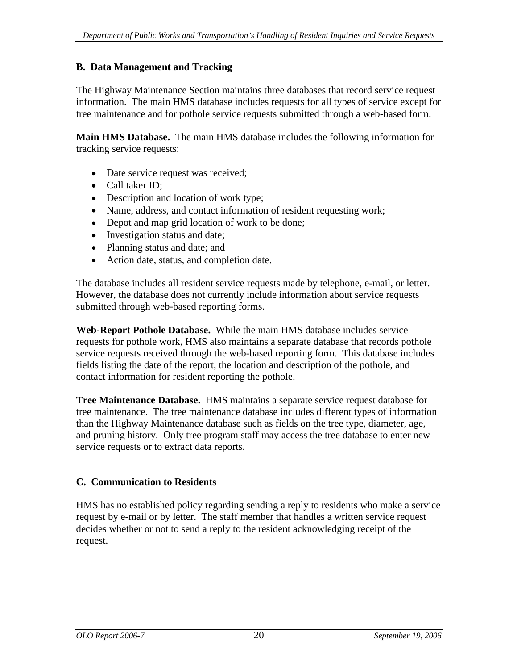The Highway Maintenance Section maintains three databases that record service request information. The main HMS database includes requests for all types of service except for tree maintenance and for pothole service requests submitted through a web-based form.

**Main HMS Database.** The main HMS database includes the following information for tracking service requests:

- Date service request was received;
	- Call taker ID;
	- Description and location of work type;
	- Name, address, and contact information of resident requesting work;
	- Depot and map grid location of work to be done;
	- Investigation status and date;
	- Planning status and date; and
	- Action date, status, and completion date.

The database includes all resident service requests made by telephone, e-mail, or letter. However, the database does not currently include information about service requests submitted through web-based reporting forms.

**Web-Report Pothole Database.** While the main HMS database includes service requests for pothole work, HMS also maintains a separate database that records pothole service requests received through the web-based reporting form. This database includes fields listing the date of the report, the location and description of the pothole, and contact information for resident reporting the pothole.

**R.** Data Management and Tracking<br>
The Highway Malatonance Section mainteins three distributes from record service request<br>
Information. The main lebS olitimas: according request for all types of service except for<br>
Inform **Tree Maintenance Database.** HMS maintains a separate service request database for tree maintenance. The tree maintenance database includes different types of information than the Highway Maintenance database such as fields on the tree type, diameter, age, and pruning history. Only tree program staff may access the tree database to enter new service requests or to extract data reports.

### **C. Communication to Residents**

HMS has no established policy regarding sending a reply to residents who make a service request by e-mail or by letter. The staff member that handles a written service request decides whether or not to send a reply to the resident acknowledging receipt of the request.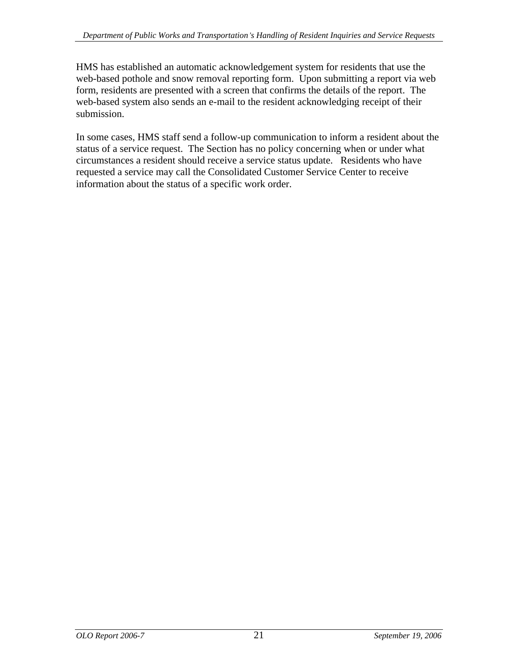web-based pothole and snow removal reporting form. Upon submitting a report via web form, residents are presented with a screen that confirms the details of the report. The web-based system also sends an e-mail to the resident acknowledging receipt of their submission.

*OLO Report 2006-7* 21 *September 19, 2006*<br> *OLO Report 2006-7* 21 *September 19, 2006 <b>CON<br> OLO REPORT 2006-7 2006-7 2006 CONFIDENT and control and control and control and the september 19, 2006-7<br> OLO REPORT 2* In some cases, HMS staff send a follow-up communication to inform a resident about the status of a service request. The Section has no policy concerning when or under what circumstances a resident should receive a service status update. Residents who have requested a service may call the Consolidated Customer Service Center to receive information about the status of a specific work order.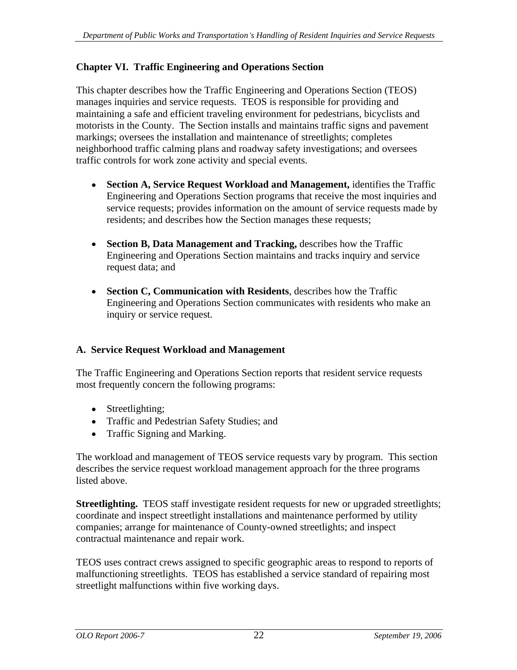**Chapter VI. Traffic Engineering and Operations Section (TEOS)**<br>**This chapter describes later that Engineering and Operations Section (TEOS)**<br>**Dimensioning a side and different mesoling anothermore for peclosimans, bleveli** This chapter describes how the Traffic Engineering and Operations Section (TEOS) manages inquiries and service requests. TEOS is responsible for providing and maintaining a safe and efficient traveling environment for pedestrians, bicyclists and motorists in the County. The Section installs and maintains traffic signs and pavement markings; oversees the installation and maintenance of streetlights; completes neighborhood traffic calming plans and roadway safety investigations; and oversees traffic controls for work zone activity and special events.

- **Section A, Service Request Workload and Management,** identifies the Traffic Engineering and Operations Section programs that receive the most inquiries and service requests; provides information on the amount of service requests made by residents; and describes how the Section manages these requests;
- **Section B, Data Management and Tracking,** describes how the Traffic Engineering and Operations Section maintains and tracks inquiry and service request data; and
- **Section C, Communication with Residents**, describes how the Traffic Engineering and Operations Section communicates with residents who make an inquiry or service request.

# **A. Service Request Workload and Management**

The Traffic Engineering and Operations Section reports that resident service requests most frequently concern the following programs:

- Streetlighting; and the state of the state of the state of the state of the state of the state of the state of the state of the state of the state of the state of the state of the state of the state of the state of the sta
- Traffic and Pedestrian Safety Studies; and
- Traffic Signing and Marking.

The workload and management of TEOS service requests vary by program. This section describes the service request workload management approach for the three programs listed above.

**Streetlighting.** TEOS staff investigate resident requests for new or upgraded streetlights; coordinate and inspect streetlight installations and maintenance performed by utility companies; arrange for maintenance of County-owned streetlights; and inspect

contractual maintenance and repair work. TEOS uses contract crews assigned to specific geographic areas to respond to reports of malfunctioning streetlights. TEOS has established a service standard of repairing most streetlight malfunctions within five working days.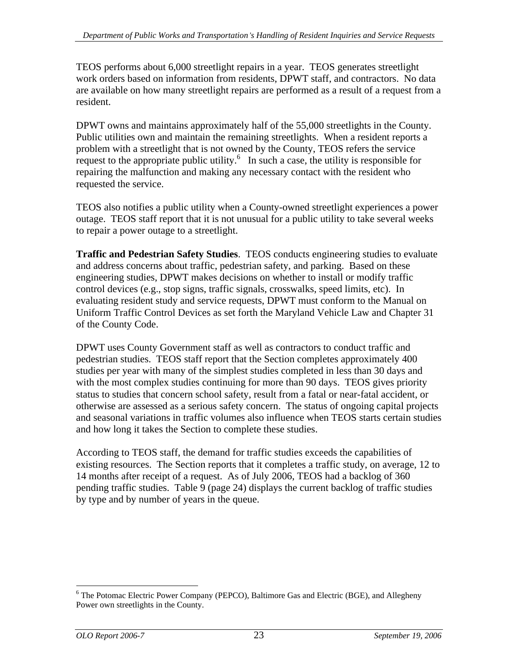TEOS performs about 6,000 streetlight repairs in a year. TEOS generates streetlight work orders based on information from residents, DPWT staff, and contractors. No data are available on how many streetlight repairs are performed as a result of a request from a resident.

DPWT owns and maintains approximately half of the 55,000 streetlights in the County. Public utilities own and maintain the remaining streetlights. When a resident reports a problem with a streetlight that is not owned by the County, TEOS refers the service request to the appropriate public utility.<sup>6</sup> In such a case, the utility is responsible for repairing the malfunction and making any necessary contact with the resident who requested the service.

TEOS also notifies a public utility when a County-owned streetlight experiences a power outage. TEOS staff report that it is not unusual for a public utility to take several weeks to repair a power outage to a streetlight.

**Traffic and Pedestrian Safety Studies**. TEOS conducts engineering studies to evaluate and address concerns about traffic, pedestrian safety, and parking. Based on these engineering studies, DPWT makes decisions on whether to install or modify traffic control devices (e.g., stop signs, traffic signals, crosswalks, speed limits, etc). In evaluating resident study and service requests, DPWT must conform to the Manual on Uniform Traffic Control Devices as set forth the Maryland Vehicle Law and Chapter 31 of the County Code.

DPWT uses County Government staff as well as contractors to conduct traffic and pedestrian studies. TEOS staff report that the Section completes approximately 400 studies per year with many of the simplest studies completed in less than 30 days and with the most complex studies continuing for more than 90 days. TEOS gives priority status to studies that concern school safety, result from a fatal or near-fatal accident, or otherwise are assessed as a serious safety concern. The status of ongoing capital projects and seasonal variations in traffic volumes also influence when TEOS starts certain studies and how long it takes the Section to complete these studies.

According to TEOS staff, the demand for traffic studies exceeds the capabilities of existing resources. The Section reports that it completes a traffic study, on average, 12 to 14 months after receipt of a request. As of July 2006, TEOS had a backlog of 360 pending traffic studies. Table 9 (page 24) displays the current backlog of traffic studies by type and by number of years in the queue.

<sup>&</sup>lt;sup>6</sup> The Potomac Electric Power Company (PEPCO), Baltimore Gas and Electric (BGE), and Allegheny Power own streetlights in the County.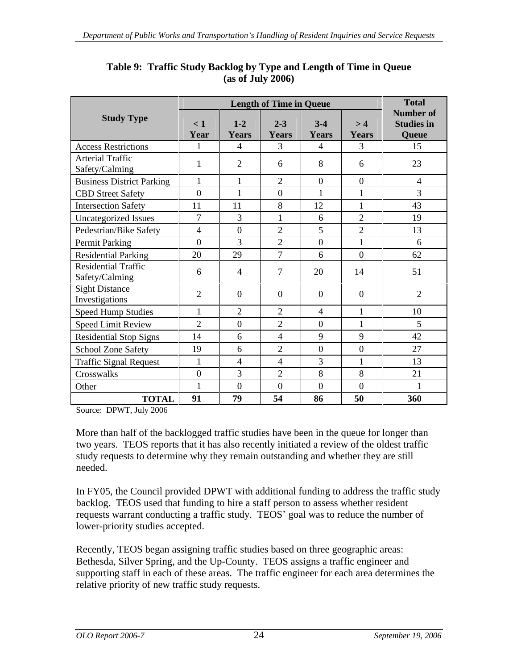| <b>Study Type</b>                                                                                                                                                                                                                                                                                                                                                                                                                                                                                                                                                                                                                                                                                                                                                                                                                                                                                                         | <b>Length of Time in Queue</b> |                |                  |                |                | <b>Total</b>                            |
|---------------------------------------------------------------------------------------------------------------------------------------------------------------------------------------------------------------------------------------------------------------------------------------------------------------------------------------------------------------------------------------------------------------------------------------------------------------------------------------------------------------------------------------------------------------------------------------------------------------------------------------------------------------------------------------------------------------------------------------------------------------------------------------------------------------------------------------------------------------------------------------------------------------------------|--------------------------------|----------------|------------------|----------------|----------------|-----------------------------------------|
|                                                                                                                                                                                                                                                                                                                                                                                                                                                                                                                                                                                                                                                                                                                                                                                                                                                                                                                           | $\leq 1$<br>Year               | $1-2$<br>Years | $2 - 3$<br>Years | $3-4$<br>Years | >4<br>Years    | Number of<br><b>Studies in</b><br>Queue |
| <b>Access Restrictions</b>                                                                                                                                                                                                                                                                                                                                                                                                                                                                                                                                                                                                                                                                                                                                                                                                                                                                                                |                                |                |                  |                | $\overline{3}$ | 15                                      |
| <b>Arterial Traffic</b>                                                                                                                                                                                                                                                                                                                                                                                                                                                                                                                                                                                                                                                                                                                                                                                                                                                                                                   |                                | 2              |                  | -8             | - 6            | 23                                      |
| Safety/Calming                                                                                                                                                                                                                                                                                                                                                                                                                                                                                                                                                                                                                                                                                                                                                                                                                                                                                                            |                                |                |                  |                |                |                                         |
| <b>Business District Parking</b>                                                                                                                                                                                                                                                                                                                                                                                                                                                                                                                                                                                                                                                                                                                                                                                                                                                                                          |                                |                | ി                | $\overline{0}$ | $\overline{0}$ |                                         |
| <b>CBD</b> Street Safety                                                                                                                                                                                                                                                                                                                                                                                                                                                                                                                                                                                                                                                                                                                                                                                                                                                                                                  | $\overline{0}$                 |                |                  |                |                | $\mathcal{R}$                           |
| <b>Intersection Safety</b>                                                                                                                                                                                                                                                                                                                                                                                                                                                                                                                                                                                                                                                                                                                                                                                                                                                                                                | 11                             | <sup>11</sup>  |                  | 12             |                | 43                                      |
| Uncategorized Issues                                                                                                                                                                                                                                                                                                                                                                                                                                                                                                                                                                                                                                                                                                                                                                                                                                                                                                      |                                | 3              |                  | 6              | 2              | 19                                      |
| Pedestrian/Bike Safety                                                                                                                                                                                                                                                                                                                                                                                                                                                                                                                                                                                                                                                                                                                                                                                                                                                                                                    | $\Delta$                       | - 0            |                  |                | 2              | 13                                      |
| Permit Parking                                                                                                                                                                                                                                                                                                                                                                                                                                                                                                                                                                                                                                                                                                                                                                                                                                                                                                            | $\overline{0}$                 |                |                  | $\Omega$       |                | 6                                       |
| <b>Residential Parking</b>                                                                                                                                                                                                                                                                                                                                                                                                                                                                                                                                                                                                                                                                                                                                                                                                                                                                                                | 20                             | 29             |                  | -6             | $\overline{0}$ | 62                                      |
| Residential Traffic<br>Safety/Calming                                                                                                                                                                                                                                                                                                                                                                                                                                                                                                                                                                                                                                                                                                                                                                                                                                                                                     | 6                              | $\overline{4}$ |                  | 20             | 14             | 51                                      |
| Sight Distance<br>Investigations                                                                                                                                                                                                                                                                                                                                                                                                                                                                                                                                                                                                                                                                                                                                                                                                                                                                                          | 2                              | $\Omega$       |                  | $\Omega$       | $\overline{0}$ | 2                                       |
| Speed Hump Studies                                                                                                                                                                                                                                                                                                                                                                                                                                                                                                                                                                                                                                                                                                                                                                                                                                                                                                        |                                | $\bigcap$      |                  |                |                | 10                                      |
| Speed Limit Review                                                                                                                                                                                                                                                                                                                                                                                                                                                                                                                                                                                                                                                                                                                                                                                                                                                                                                        | $\mathcal{L}$                  | $\theta$       |                  | $\Omega$       |                |                                         |
| <b>Residential Stop Signs</b>                                                                                                                                                                                                                                                                                                                                                                                                                                                                                                                                                                                                                                                                                                                                                                                                                                                                                             | 14                             | -6             |                  | $\Omega$       | -9             | 42                                      |
| School Zone Safety                                                                                                                                                                                                                                                                                                                                                                                                                                                                                                                                                                                                                                                                                                                                                                                                                                                                                                        | 19                             | -6             |                  | $\Omega$       | $\Omega$       | 27                                      |
| <b>Traffic Signal Request</b>                                                                                                                                                                                                                                                                                                                                                                                                                                                                                                                                                                                                                                                                                                                                                                                                                                                                                             |                                | $\overline{4}$ |                  |                |                | 13                                      |
| Crosswalks                                                                                                                                                                                                                                                                                                                                                                                                                                                                                                                                                                                                                                                                                                                                                                                                                                                                                                                | $\overline{0}$                 | 3              |                  | -8             | 8              | 21                                      |
| Other                                                                                                                                                                                                                                                                                                                                                                                                                                                                                                                                                                                                                                                                                                                                                                                                                                                                                                                     |                                | $\Omega$       |                  | $\Omega$       | $\overline{0}$ |                                         |
| <b>TOTAL</b>                                                                                                                                                                                                                                                                                                                                                                                                                                                                                                                                                                                                                                                                                                                                                                                                                                                                                                              | 91                             | 79             | 54               | 86             | 50             | 360                                     |
| Source: DPWT, July 2006                                                                                                                                                                                                                                                                                                                                                                                                                                                                                                                                                                                                                                                                                                                                                                                                                                                                                                   |                                |                |                  |                |                |                                         |
| More than half of the backlogged traffic studies have been in the queue for longer than<br>two years. TEOS reports that it has also recently initiated a review of the oldest traffic<br>study requests to determine why they remain outstanding and whether they are still<br>needed.<br>In FY05, the Council provided DPWT with additional funding to address the traffic study<br>backlog. TEOS used that funding to hire a staff person to assess whether resident<br>requests warrant conducting a traffic study. TEOS' goal was to reduce the number of<br>lower-priority studies accepted.<br>Recently, TEOS began assigning traffic studies based on three geographic areas:<br>Bethesda, Silver Spring, and the Up-County. TEOS assigns a traffic engineer and<br>supporting staff in each of these areas. The traffic engineer for each area determines the<br>relative priority of new traffic study requests. |                                |                |                  |                |                |                                         |
|                                                                                                                                                                                                                                                                                                                                                                                                                                                                                                                                                                                                                                                                                                                                                                                                                                                                                                                           |                                |                |                  |                |                |                                         |
|                                                                                                                                                                                                                                                                                                                                                                                                                                                                                                                                                                                                                                                                                                                                                                                                                                                                                                                           |                                |                |                  |                |                |                                         |
| OLO Report 2006-7                                                                                                                                                                                                                                                                                                                                                                                                                                                                                                                                                                                                                                                                                                                                                                                                                                                                                                         |                                | 24             |                  |                |                | September 19, 2006                      |

**(as of July 2006)**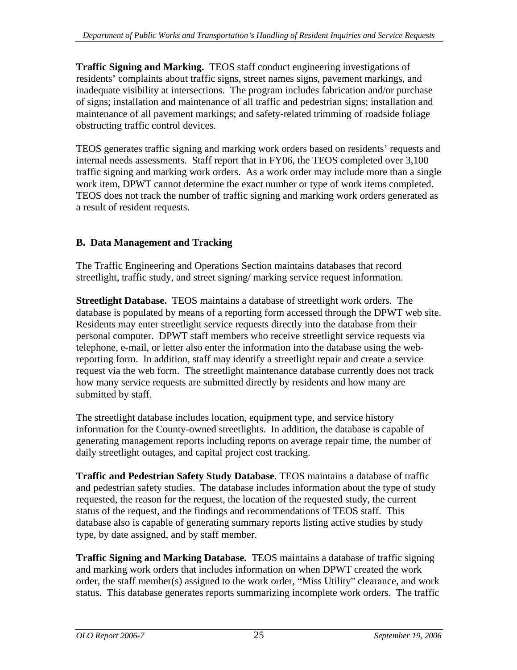residents' complaints about traffic signs, street names signs, pavement markings, and inadequate visibility at intersections. The program includes fabrication and/or purchase of signs; installation and maintenance of all traffic and pedestrian signs; installation and maintenance of all pavement markings; and safety-related trimming of roadside foliage obstructing traffic control devices.

TEOS generates traffic signing and marking work orders based on residents requests and internal needs assessments. Staff report that in FY06, the TEOS completed over 3,100 traffic signing and marking work orders. As a work order may include more than a single work item, DPWT cannot determine the exact number or type of work items completed. TEOS does not track the number of traffic signing and marking work orders generated as a result of resident requests.

# **B. Data Management and Tracking**

The Traffic Engineering and Operations Section maintains databases that record streetlight, traffic study, and street signing/ marking service request information.

**Profile Signing and Marking. TFOS we follow the eighetering investigations of the matching the system of the propriation and the propriation of the propriation of the propriation and the propriation and the propriation an Streetlight Database.** TEOS maintains a database of streetlight work orders. The database is populated by means of a reporting form accessed through the DPWT web site. Residents may enter streetlight service requests directly into the database from their personal computer. DPWT staff members who receive streetlight service requests via telephone, e-mail, or letter also enter the information into the database using the webreporting form. In addition, staff may identify a streetlight repair and create a service request via the web form. The streetlight maintenance database currently does not track how many service requests are submitted directly by residents and how many are submitted by staff.

The streetlight database includes location, equipment type, and service history information for the County-owned streetlights. In addition, the database is capable of generating management reports including reports on average repair time, the number of daily streetlight outages, and capital project cost tracking.

**Traffic and Pedestrian Safety Study Database***.* TEOS maintains a database of traffic and pedestrian safety studies. The database includes information about the type of study requested, the reason for the request, the location of the requested study, the current status of the request, and the findings and recommendations of TEOS staff. This database also is capable of generating summary reports listing active studies by study type, by date assigned, and by staff member.

**Traffic Signing and Marking Database.** TEOS maintains a database of traffic signing and marking work orders that includes information on when DPWT created the work order, the staff member(s) assigned to the work order, "Miss Utility" clearance, and work status. This database generates reports summarizing incomplete work orders. The traffic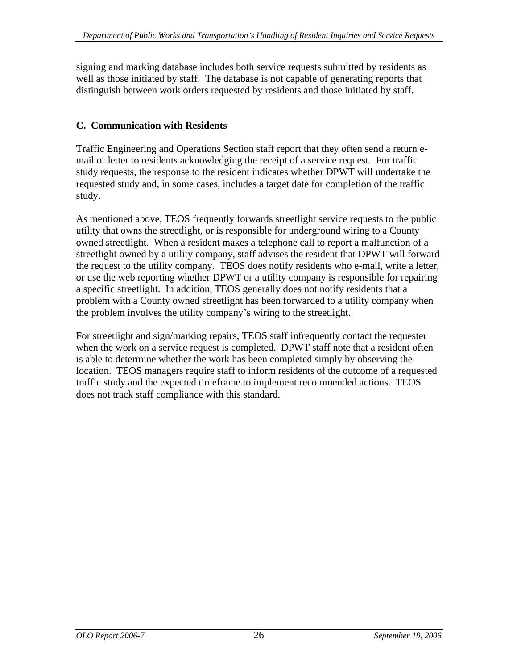signing and marking database includes both service requests submitted by residents as well as those initiated by staff. The database is not capable of generating reports that distinguish between work orders requested by residents and those initiated by staff.

# **C. Communication with Residents**

Traffic Engineering and Operations Section staff report that they often send a return e mail or letter to residents acknowledging the receipt of a service request. For traffic study requests, the response to the resident indicates whether DPWT will undertake the requested study and, in some cases, includes a target date for completion of the traffic study.

As mentioned above, TEOS frequently forwards streetlight service requests to the public utility that owns the streetlight, or is responsible for underground wiring to a County owned streetlight. When a resident makes a telephone call to report a malfunction of a streetlight owned by a utility company, staff advises the resident that DPWT will forward the request to the utility company. TEOS does notify residents who e-mail, write a letter, or use the web reporting whether DPWT or a utility company is responsible for repairing a specific streetlight. In addition, TEOS generally does not notify residents that a problem with a County owned streetlight has been forwarded to a utility company when the problem involves the utility company's wiring to the streetlight.

For streetlight and sign/marking repairs, TEOS staff infrequently contact the requester when the work on a service request is completed. DPWT staff note that a resident often is able to determine whether the work has been completed simply by observing the location. TEOS managers require staff to inform residents of the outcome of a requested traffic study and the expected timeframe to implement recommended actions. TEOS does not track staff compliance with this standard.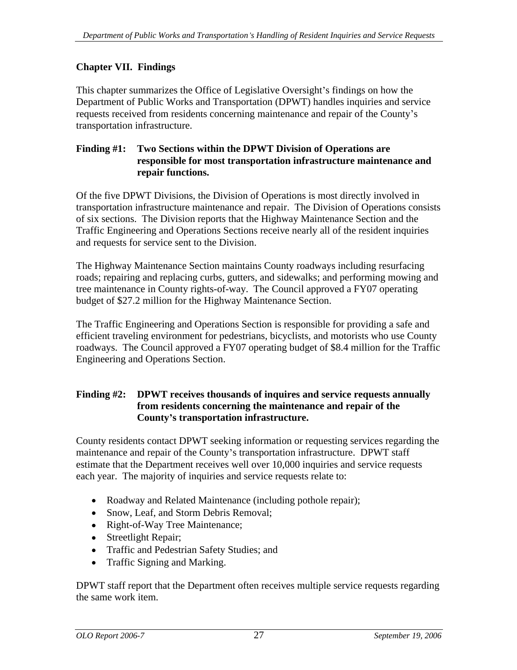This chapter summarizes the Office of Legislative Oversight s findings on how the Department of Public Works and Transportation (DPWT) handles inquiries and service requests received from residents concerning maintenance and repair of the County's transportation infrastructure.

### **Finding #1: Two Sections within the DPWT Division of Operations are responsible for most transportation infrastructure maintenance and repair functions.**

**Chapter VII. Findings** the Oltics of Legislative Overlight's findings on how the This chapter summatizes the Oltics of Legislative Cornegies in finding on how the Department of the Compy<br>
Deportment of the Department Corn Of the five DPWT Divisions, the Division of Operations is most directly involved in transportation infrastructure maintenance and repair. The Division of Operations consists of six sections. The Division reports that the Highway Maintenance Section and the Traffic Engineering and Operations Sections receive nearly all of the resident inquiries and requests for service sent to the Division.

The Highway Maintenance Section maintains County roadways including resurfacing roads; repairing and replacing curbs, gutters, and sidewalks; and performing mowing and tree maintenance in County rights-of-way. The Council approved a FY07 operating budget of \$27.2 million for the Highway Maintenance Section.

The Traffic Engineering and Operations Section is responsible for providing a safe and efficient traveling environment for pedestrians, bicyclists, and motorists who use County roadways. The Council approved a FY07 operating budget of \$8.4 million for the Traffic Engineering and Operations Section.

# **Finding #2: DPWT receives thousands of inquires and service requests annually from residents concerning the maintenance and repair of the County s transportation infrastructure.**

County residents contact DPWT seeking information or requesting services regarding the maintenance and repair of the County's transportation infrastructure. DPWT staff estimate that the Department receives well over 10,000 inquiries and service requests each year. The majority of inquiries and service requests relate to:

- Roadway and Related Maintenance (including pothole repair);
- Snow, Leaf, and Storm Debris Removal;
- Right-of-Way Tree Maintenance;
- Streetlight Repair;
- Traffic and Pedestrian Safety Studies; and
- Traffic Signing and Marking.

DPWT staff report that the Department often receives multiple service requests regarding the same work item.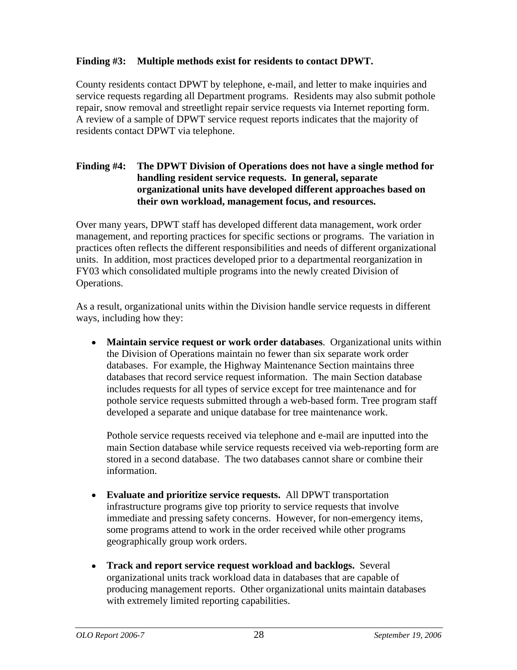# **Finding #3: Multiple methods exist for residents to contact DPWT.**

County residents contact DPWT by telephone, e-mail, and letter to make inquiries and service requests regarding all Department programs. Residents may also submit pothole repair, snow removal and streetlight repair service requests via Internet reporting form. A review of a sample of DPWT service request reports indicates that the majority of residents contact DPWT via telephone.

### **Finding #4: The DPWT Division of Operations does not have a single method for handling resident service requests. In general, separate organizational units have developed different approaches based on their own workload, management focus, and resources.**

Over many years, DPWT staff has developed different data management, work order management, and reporting practices for specific sections or programs. The variation in practices often reflects the different responsibilities and needs of different organizational units. In addition, most practices developed prior to a departmental reorganization in FY03 which consolidated multiple programs into the newly created Division of Operations.

As a result, organizational units within the Division handle service requests in different ways, including how they:

**Maintain service request or work order databases**. Organizational units within the Division of Operations maintain no fewer than six separate work order databases. For example, the Highway Maintenance Section maintains three databases that record service request information. The main Section database includes requests for all types of service except for tree maintenance and for pothole service requests submitted through a web-based form. Tree program staff developed a separate and unique database for tree maintenance work.

Pothole service requests received via telephone and e-mail are inputted into the main Section database while service requests received via web-reporting form are stored in a second database. The two databases cannot share or combine their information.

- **Evaluate and prioritize service requests.** All DPWT transportation infrastructure programs give top priority to service requests that involve immediate and pressing safety concerns. However, for non-emergency items, some programs attend to work in the order received while other programs geographically group work orders.
- $\bullet$ **Track and report service request workload and backlogs.** Several organizational units track workload data in databases that are capable of producing management reports. Other organizational units maintain databases with extremely limited reporting capabilities.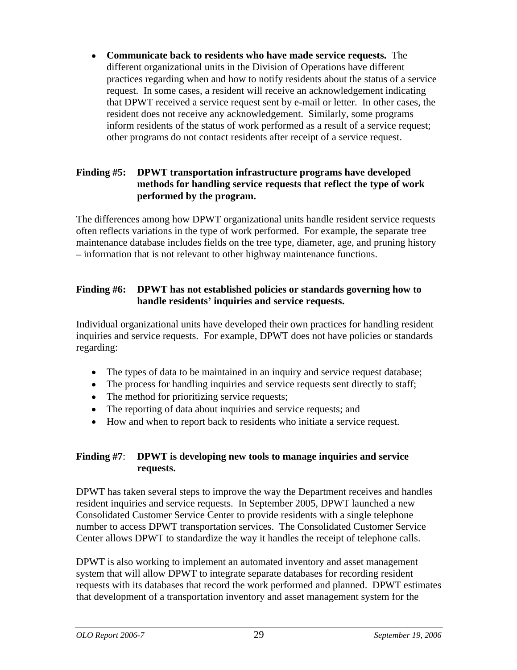• **Communicate back to resident who have under excellent to reside the service requests.** The present and the service requests a property and the considered service requests above the service requests. The service reques different organizational units in the Division of Operations have different practices regarding when and how to notify residents about the status of a service request. In some cases, a resident will receive an acknowledgement indicating that DPWT received a service request sent by e-mail or letter. In other cases, the resident does not receive any acknowledgement. Similarly, some programs inform residents of the status of work performed as a result of a service request; other programs do not contact residents after receipt of a service request.

# **Finding #5: DPWT transportation infrastructure programs have developed methods for handling service requests that reflect the type of work performed by the program.**

The differences among how DPWT organizational units handle resident service requests often reflects variations in the type of work performed. For example, the separate tree maintenance database includes fields on the tree type, diameter, age, and pruning history information that is not relevant to other highway maintenance functions.

# **Finding #6: DPWT has not established policies or standards governing how to** handle residents' inquiries and service requests.

Individual organizational units have developed their own practices for handling resident inquiries and service requests. For example, DPWT does not have policies or standards regarding:

- The types of data to be maintained in an inquiry and service request database;
- The process for handling inquiries and service requests sent directly to staff:
- The method for prioritizing service requests;
- The reporting of data about inquiries and service requests; and
- How and when to report back to residents who initiate a service request.

# **Finding #7**: **DPWT is developing new tools to manage inquiries and service requests.**

DPWT has taken several steps to improve the way the Department receives and handles resident inquiries and service requests. In September 2005, DPWT launched a new Consolidated Customer Service Center to provide residents with a single telephone number to access DPWT transportation services. The Consolidated Customer Service Center allows DPWT to standardize the way it handles the receipt of telephone calls.

DPWT is also working to implement an automated inventory and asset management system that will allow DPWT to integrate separate databases for recording resident requests with its databases that record the work performed and planned. DPWT estimates that development of a transportation inventory and asset management system for the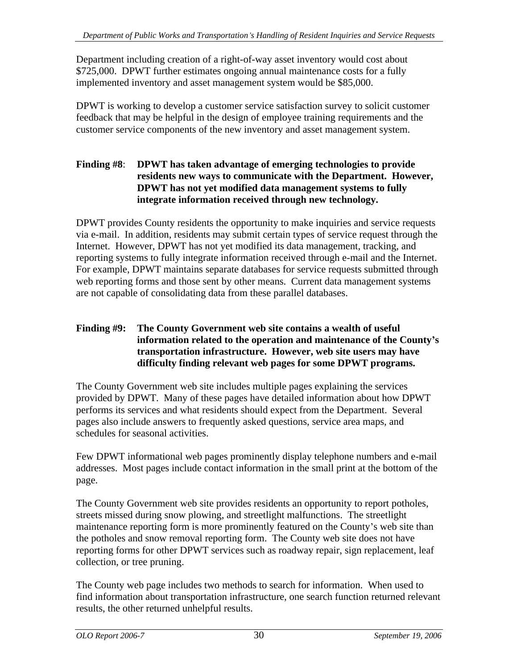\$725,000. DPWT further estimates ongoing annual maintenance costs for a fully implemented inventory and asset management system would be \$85,000.

DPWT is working to develop a customer service satisfaction survey to solicit customer feedback that may be helpful in the design of employee training requirements and the customer service components of the new inventory and asset management system.

## **Finding #8**: **DPWT has taken advantage of emerging technologies to provide residents new ways to communicate with the Department. However, DPWT has not yet modified data management systems to fully integrate information received through new technology.**

**OLO Report 2006-7 OLO THE CONSTRANT CONSTRANT CONSTRANT CONSTRANT CONSTRANT CONSTRANT CONSTRANT CONSTRANT CONSTRANT CONSTRANT CONSTRANT CONSTRANT CONSTRANT CONSTRANT CONSTRANT CONSTRANT CONSTRANT CONSTRANT CONSTRANT CON** DPWT provides County residents the opportunity to make inquiries and service requests via e-mail. In addition, residents may submit certain types of service request through the Internet. However, DPWT has not yet modified its data management, tracking, and reporting systems to fully integrate information received through e-mail and the Internet. For example, DPWT maintains separate databases for service requests submitted through web reporting forms and those sent by other means. Current data management systems are not capable of consolidating data from these parallel databases.

## **Finding #9: The County Government web site contains a wealth of useful information related to the operation and maintenance of the County s transportation infrastructure. However, web site users may have difficulty finding relevant web pages for some DPWT programs.**

The County Government web site includes multiple pages explaining the services provided by DPWT. Many of these pages have detailed information about how DPWT performs its services and what residents should expect from the Department. Several pages also include answers to frequently asked questions, service area maps, and schedules for seasonal activities.

Few DPWT informational web pages prominently display telephone numbers and e-mail addresses. Most pages include contact information in the small print at the bottom of the page.

The County Government web site provides residents an opportunity to report potholes, streets missed during snow plowing, and streetlight malfunctions. The streetlight maintenance reporting form is more prominently featured on the County's web site than the potholes and snow removal reporting form. The County web site does not have reporting forms for other DPWT services such as roadway repair, sign replacement, leaf collection, or tree pruning.

The County web page includes two methods to search for information. When used to find information about transportation infrastructure, one search function returned relevant results, the other returned unhelpful results.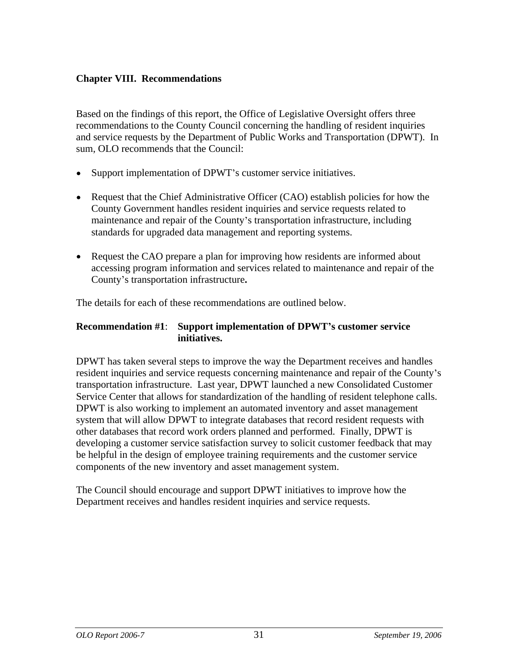Based on the findings of this report, the Office of Legislative Oversight offers three recommendations to the County Council concerning the handling of resident inquiries and service requests by the Department of Public Works and Transportation (DPWT). In sum, OLO recommends that the Council:

- Support implementation of DPWT's customer service initiatives.
- Request that the Chief Administrative Officer (CAO) establish policies for how the County Government handles resident inquiries and service requests related to maintenance and repair of the County's transportation infrastructure, including standards for upgraded data management and reporting systems.
- Request the CAO prepare a plan for improving how residents are informed about accessing program information and services related to maintenance and repair of the County's transportation infrastructure.

The details for each of these recommendations are outlined below.

## **Recommendation #1**: **Support implementation of DPWT s customer service initiatives.**

**Chapter VIII. Recommendations**<br> **OLO Chapters**, this correct the origin of Payithletic of resident inquiries<br> **Chapter 2006-7** this proparticular content concerning the headling of resident inquiries<br> **Although the Depart** DPWT has taken several steps to improve the way the Department receives and handles resident inquiries and service requests concerning maintenance and repair of the County's transportation infrastructure. Last year, DPWT launched a new Consolidated Customer Service Center that allows for standardization of the handling of resident telephone calls. DPWT is also working to implement an automated inventory and asset management system that will allow DPWT to integrate databases that record resident requests with other databases that record work orders planned and performed. Finally, DPWT is developing a customer service satisfaction survey to solicit customer feedback that may be helpful in the design of employee training requirements and the customer service components of the new inventory and asset management system.

The Council should encourage and support DPWT initiatives to improve how the Department receives and handles resident inquiries and service requests.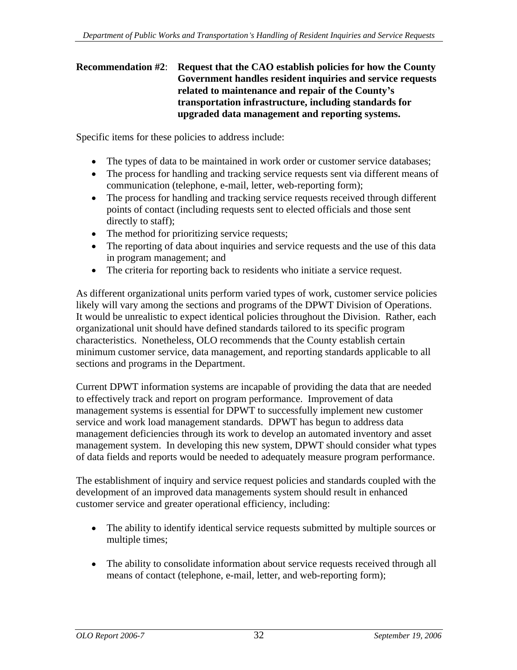# **Government handles resident inquiries and service requests related to maintenance and repair of the County s transportation infrastructure, including standards for upgraded data management and reporting systems.**

Specific items for these policies to address include:

- The types of data to be maintained in work order or customer service databases;
- The process for handling and tracking service requests sent via different means of communication (telephone, e-mail, letter, web-reporting form);
- The process for handling and tracking service requests received through different points of contact (including requests sent to elected officials and those sent directly to staff);
- The method for prioritizing service requests;
- The reporting of data about inquiries and service requests and the use of this data in program management; and
- The criteria for reporting back to residents who initiate a service request.

As different organizational units perform varied types of work, customer service policies likely will vary among the sections and programs of the DPWT Division of Operations. It would be unrealistic to expect identical policies throughout the Division. Rather, each organizational unit should have defined standards tailored to its specific program characteristics. Nonetheless, OLO recommends that the County establish certain minimum customer service, data management, and reporting standards applicable to all sections and programs in the Department.

**Recommendation #2 Geometric includible Contents and report 2006 Contents and report of the County of the County of the County of the County of the County of the County of the County of the County of the County of the** Current DPWT information systems are incapable of providing the data that are needed to effectively track and report on program performance. Improvement of data management systems is essential for DPWT to successfully implement new customer service and work load management standards. DPWT has begun to address data management deficiencies through its work to develop an automated inventory and asset management system. In developing this new system, DPWT should consider what types of data fields and reports would be needed to adequately measure program performance.

The establishment of inquiry and service request policies and standards coupled with the development of an improved data managements system should result in enhanced customer service and greater operational efficiency, including:

- The ability to identify identical service requests submitted by multiple sources or multiple times;
- The ability to consolidate information about service requests received through all means of contact (telephone, e-mail, letter, and web-reporting form);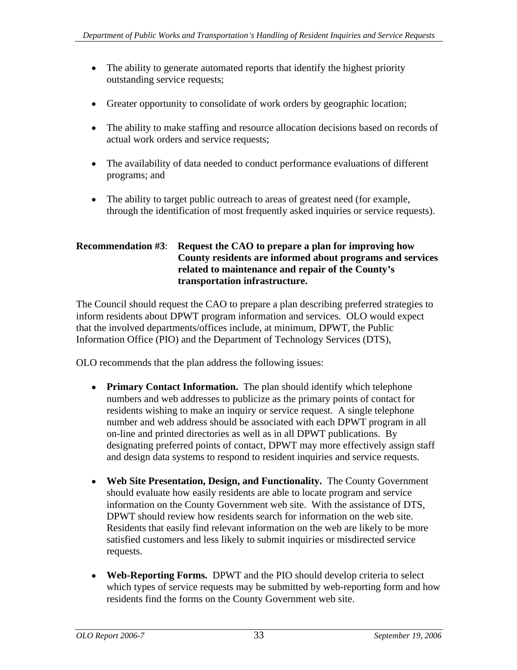- The ability to generate automated reports that identify the highest priority outstanding service requests;
- Greater opportunity to consolidate of work orders by geographic location;
- The ability to make staffing and resource allocation decisions based on records of actual work orders and service requests;
- The availability of data needed to conduct performance evaluations of different programs; and
- The ability to target public outreach to areas of greatest need (for example, through the identification of most frequently asked inquiries or service requests).

### **Recommendation #3**: **Request the CAO to prepare a plan for improving how County residents are informed about programs and services related to maintenance and repair of the County s transportation infrastructure.**

The Council should request the CAO to prepare a plan describing preferred strategies to inform residents about DPWT program information and services. OLO would expect that the involved departments/offices include, at minimum, DPWT, the Public Information Office (PIO) and the Department of Technology Services (DTS), OLO recommends that the plan address the following issues:

- **Primary Contact Information.** The plan should identify which telephone numbers and web addresses to publicize as the primary points of contact for residents wishing to make an inquiry or service request. A single telephone number and web address should be associated with each DPWT program in all on-line and printed directories as well as in all DPWT publications. By designating preferred points of contact, DPWT may more effectively assign staff and design data systems to respond to resident inquiries and service requests.
- **Web Site Presentation, Design, and Functionality.** The County Government should evaluate how easily residents are able to locate program and service information on the County Government web site. With the assistance of DTS, DPWT should review how residents search for information on the web site. Residents that easily find relevant information on the web are likely to be more satisfied customers and less likely to submit inquiries or misdirected service requests.
- **Web-Reporting Forms.** DPWT and the PIO should develop criteria to select which types of service requests may be submitted by web-reporting form and how residents find the forms on the County Government web site.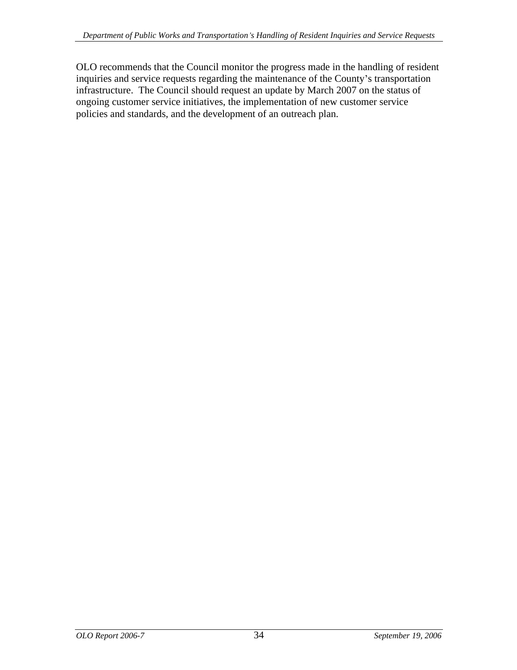*OLO Recomments that the Council monitor the progress made in the Irandhief of residents*<br> **Instanting and service requests regarding the maintenance of the Councy's transportation**<br> **Instantance The Council about request** inquiries and service requests regarding the maintenance of the County's transportation infrastructure. The Council should request an update by March 2007 on the status of ongoing customer service initiatives, the implementation of new customer service policies and standards, and the development of an outreach plan.